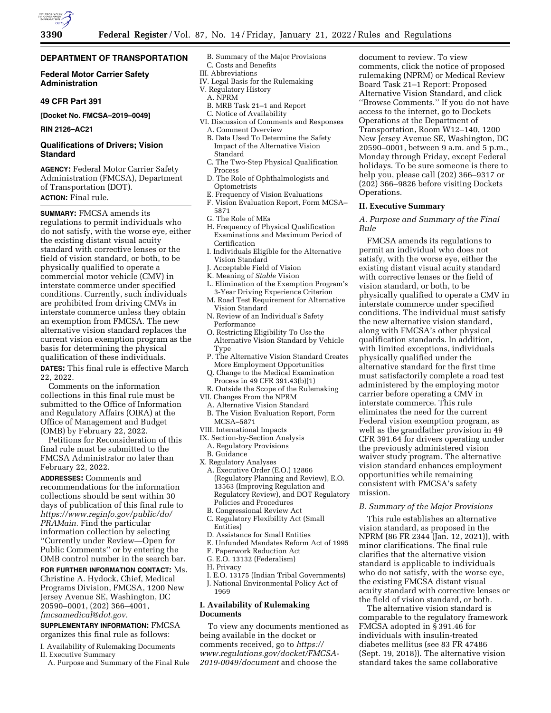

# **DEPARTMENT OF TRANSPORTATION**

### **Federal Motor Carrier Safety Administration**

### **49 CFR Part 391**

**[Docket No. FMCSA–2019–0049]** 

### **RIN 2126–AC21**

### **Qualifications of Drivers; Vision Standard**

**AGENCY:** Federal Motor Carrier Safety Administration (FMCSA), Department of Transportation (DOT). **ACTION:** Final rule.

**SUMMARY:** FMCSA amends its regulations to permit individuals who do not satisfy, with the worse eye, either the existing distant visual acuity standard with corrective lenses or the field of vision standard, or both, to be physically qualified to operate a commercial motor vehicle (CMV) in interstate commerce under specified conditions. Currently, such individuals are prohibited from driving CMVs in interstate commerce unless they obtain an exemption from FMCSA. The new alternative vision standard replaces the current vision exemption program as the basis for determining the physical qualification of these individuals.

**DATES:** This final rule is effective March 22, 2022.

Comments on the information collections in this final rule must be submitted to the Office of Information and Regulatory Affairs (OIRA) at the Office of Management and Budget (OMB) by February 22, 2022.

Petitions for Reconsideration of this final rule must be submitted to the FMCSA Administrator no later than February 22, 2022.

**ADDRESSES:** Comments and recommendations for the information collections should be sent within 30 days of publication of this final rule to *[https://www.reginfo.gov/public/do/](https://www.reginfo.gov/public/do/PRAMain) [PRAMain.](https://www.reginfo.gov/public/do/PRAMain)* Find the particular information collection by selecting ''Currently under Review—Open for Public Comments'' or by entering the OMB control number in the search bar.

**FOR FURTHER INFORMATION CONTACT:** Ms. Christine A. Hydock, Chief, Medical

Programs Division, FMCSA, 1200 New Jersey Avenue SE, Washington, DC 20590–0001, (202) 366–4001, *[fmcsamedical@dot.gov.](mailto:fmcsamedical@dot.gov)* 

**SUPPLEMENTARY INFORMATION:** FMCSA organizes this final rule as follows:

I. Availability of Rulemaking Documents II. Executive Summary

A. Purpose and Summary of the Final Rule

- B. Summary of the Major Provisions C. Costs and Benefits
- III. Abbreviations
- IV. Legal Basis for the Rulemaking
- V. Regulatory History
	- A. NPRM
	- B. MRB Task 21–1 and Report
	- C. Notice of Availability
- VI. Discussion of Comments and Responses A. Comment Overview
	- B. Data Used To Determine the Safety Impact of the Alternative Vision Standard
	- C. The Two-Step Physical Qualification Process
	- D. The Role of Ophthalmologists and Optometrists
	- E. Frequency of Vision Evaluations
- F. Vision Evaluation Report, Form MCSA– 5871
- G. The Role of MEs
- H. Frequency of Physical Qualification Examinations and Maximum Period of Certification
- I. Individuals Eligible for the Alternative Vision Standard
- J. Acceptable Field of Vision
- K. Meaning of *Stable* Vision
- L. Elimination of the Exemption Program's 3-Year Driving Experience Criterion
- M. Road Test Requirement for Alternative Vision Standard
- N. Review of an Individual's Safety Performance
- O. Restricting Eligibility To Use the Alternative Vision Standard by Vehicle Type
- P. The Alternative Vision Standard Creates More Employment Opportunities
- Q. Change to the Medical Examination Process in 49 CFR 391.43(b)(1)
- R. Outside the Scope of the Rulemaking
- VII. Changes From the NPRM
- A. Alternative Vision Standard B. The Vision Evaluation Report, Form
- MCSA–5871
- VIII. International Impacts
- IX. Section-by-Section Analysis
- A. Regulatory Provisions
- B. Guidance
- X. Regulatory Analyses A. Executive Order (E.O.) 12866 (Regulatory Planning and Review), E.O. 13563 (Improving Regulation and Regulatory Review), and DOT Regulatory Policies and Procedures
- B. Congressional Review Act
- C. Regulatory Flexibility Act (Small Entities)
- D. Assistance for Small Entities
- E. Unfunded Mandates Reform Act of 1995
- F. Paperwork Reduction Act
- G. E.O. 13132 (Federalism)
- H. Privacy

1969

- I. E.O. 13175 (Indian Tribal Governments)
- J. National Environmental Policy Act of

### **I. Availability of Rulemaking Documents**

To view any documents mentioned as being available in the docket or comments received, go to *[https://](https://www.regulations.gov/docket/FMCSA-2019-0049/document) [www.regulations.gov/docket/FMCSA-](https://www.regulations.gov/docket/FMCSA-2019-0049/document)[2019-0049/document](https://www.regulations.gov/docket/FMCSA-2019-0049/document)* and choose the

document to review. To view comments, click the notice of proposed rulemaking (NPRM) or Medical Review Board Task 21–1 Report: Proposed Alternative Vision Standard, and click ''Browse Comments.'' If you do not have access to the internet, go to Dockets Operations at the Department of Transportation, Room W12–140, 1200 New Jersey Avenue SE, Washington, DC 20590–0001, between 9 a.m. and 5 p.m., Monday through Friday, except Federal holidays. To be sure someone is there to help you, please call (202) 366–9317 or (202) 366–9826 before visiting Dockets Operations.

### **II. Executive Summary**

*A. Purpose and Summary of the Final Rule* 

FMCSA amends its regulations to permit an individual who does not satisfy, with the worse eye, either the existing distant visual acuity standard with corrective lenses or the field of vision standard, or both, to be physically qualified to operate a CMV in interstate commerce under specified conditions. The individual must satisfy the new alternative vision standard, along with FMCSA's other physical qualification standards. In addition, with limited exceptions, individuals physically qualified under the alternative standard for the first time must satisfactorily complete a road test administered by the employing motor carrier before operating a CMV in interstate commerce. This rule eliminates the need for the current Federal vision exemption program, as well as the grandfather provision in 49 CFR 391.64 for drivers operating under the previously administered vision waiver study program. The alternative vision standard enhances employment opportunities while remaining consistent with FMCSA's safety mission.

### *B. Summary of the Major Provisions*

This rule establishes an alternative vision standard, as proposed in the NPRM (86 FR 2344 (Jan. 12, 2021)), with minor clarifications. The final rule clarifies that the alternative vision standard is applicable to individuals who do not satisfy, with the worse eye, the existing FMCSA distant visual acuity standard with corrective lenses or the field of vision standard, or both.

The alternative vision standard is comparable to the regulatory framework FMCSA adopted in § 391.46 for individuals with insulin-treated diabetes mellitus (see 83 FR 47486 (Sept. 19, 2018)). The alternative vision standard takes the same collaborative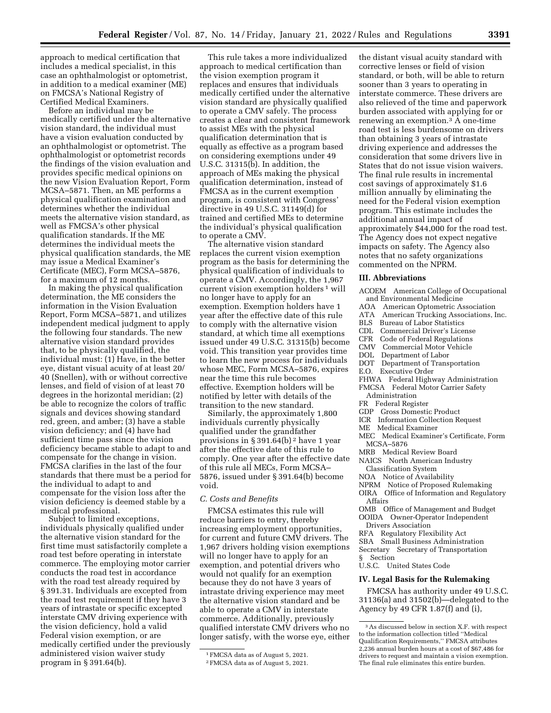approach to medical certification that includes a medical specialist, in this case an ophthalmologist or optometrist, in addition to a medical examiner (ME) on FMCSA's National Registry of Certified Medical Examiners.

Before an individual may be medically certified under the alternative vision standard, the individual must have a vision evaluation conducted by an ophthalmologist or optometrist. The ophthalmologist or optometrist records the findings of the vision evaluation and provides specific medical opinions on the new Vision Evaluation Report, Form MCSA–5871. Then, an ME performs a physical qualification examination and determines whether the individual meets the alternative vision standard, as well as FMCSA's other physical qualification standards. If the ME determines the individual meets the physical qualification standards, the ME may issue a Medical Examiner's Certificate (MEC), Form MCSA–5876, for a maximum of 12 months.

In making the physical qualification determination, the ME considers the information in the Vision Evaluation Report, Form MCSA–5871, and utilizes independent medical judgment to apply the following four standards. The new alternative vision standard provides that, to be physically qualified, the individual must: (1) Have, in the better eye, distant visual acuity of at least 20/ 40 (Snellen), with or without corrective lenses, and field of vision of at least 70 degrees in the horizontal meridian; (2) be able to recognize the colors of traffic signals and devices showing standard red, green, and amber; (3) have a stable vision deficiency; and (4) have had sufficient time pass since the vision deficiency became stable to adapt to and compensate for the change in vision. FMCSA clarifies in the last of the four standards that there must be a period for the individual to adapt to and compensate for the vision loss after the vision deficiency is deemed stable by a medical professional.

Subject to limited exceptions, individuals physically qualified under the alternative vision standard for the first time must satisfactorily complete a road test before operating in interstate commerce. The employing motor carrier conducts the road test in accordance with the road test already required by § 391.31. Individuals are excepted from the road test requirement if they have 3 years of intrastate or specific excepted interstate CMV driving experience with the vision deficiency, hold a valid Federal vision exemption, or are medically certified under the previously administered vision waiver study program in § 391.64(b).

This rule takes a more individualized approach to medical certification than the vision exemption program it replaces and ensures that individuals medically certified under the alternative vision standard are physically qualified to operate a CMV safely. The process creates a clear and consistent framework to assist MEs with the physical qualification determination that is equally as effective as a program based on considering exemptions under 49 U.S.C.  $31315(b)$ . In addition, the approach of MEs making the physical qualification determination, instead of FMCSA as in the current exemption program, is consistent with Congress' directive in 49 U.S.C. 31149(d) for trained and certified MEs to determine the individual's physical qualification to operate a CMV.

The alternative vision standard replaces the current vision exemption program as the basis for determining the physical qualification of individuals to operate a CMV. Accordingly, the 1,967 current vision exemption holders 1 will no longer have to apply for an exemption. Exemption holders have 1 year after the effective date of this rule to comply with the alternative vision standard, at which time all exemptions issued under 49 U.S.C. 31315(b) become void. This transition year provides time to learn the new process for individuals whose MEC, Form MCSA–5876, expires near the time this rule becomes effective. Exemption holders will be notified by letter with details of the transition to the new standard.

Similarly, the approximately 1,800 individuals currently physically qualified under the grandfather provisions in § 391.64(b) 2 have 1 year after the effective date of this rule to comply. One year after the effective date of this rule all MECs, Form MCSA– 5876, issued under § 391.64(b) become void.

### *C. Costs and Benefits*

FMCSA estimates this rule will reduce barriers to entry, thereby increasing employment opportunities, for current and future CMV drivers. The 1,967 drivers holding vision exemptions will no longer have to apply for an exemption, and potential drivers who would not qualify for an exemption because they do not have 3 years of intrastate driving experience may meet the alternative vision standard and be able to operate a CMV in interstate commerce. Additionally, previously qualified interstate CMV drivers who no longer satisfy, with the worse eye, either

the distant visual acuity standard with corrective lenses or field of vision standard, or both, will be able to return sooner than 3 years to operating in interstate commerce. These drivers are also relieved of the time and paperwork burden associated with applying for or renewing an exemption.3 A one-time road test is less burdensome on drivers than obtaining 3 years of intrastate driving experience and addresses the consideration that some drivers live in States that do not issue vision waivers. The final rule results in incremental cost savings of approximately \$1.6 million annually by eliminating the need for the Federal vision exemption program. This estimate includes the additional annual impact of approximately \$44,000 for the road test. The Agency does not expect negative impacts on safety. The Agency also notes that no safety organizations commented on the NPRM.

#### **III. Abbreviations**

- ACOEM American College of Occupational and Environmental Medicine
- AOA American Optometric Association
- ATA American Trucking Associations, Inc.
- BLS Bureau of Labor Statistics<br>CDL Commercial Driver's Lice
- CDL Commercial Driver's License<br>CFR Code of Federal Regulations
- CFR Code of Federal Regulations<br>CMV Commercial Motor Vehicle
- Commercial Motor Vehicle
- DOL Department of Labor
- DOT Department of Transportation
- E.O. Executive Order
- FHWA Federal Highway Administration FMCSA Federal Motor Carrier Safety
- Administration
- FR Federal Register
- GDP Gross Domestic Product
- ICR Information Collection Request
- ME Medical Examiner
- MEC Medical Examiner's Certificate, Form MCSA–5876
- MRB Medical Review Board
- NAICS North American Industry
- Classification System
- NOA Notice of Availability
- NPRM Notice of Proposed Rulemaking
- OIRA Office of Information and Regulatory Affairs
- OMB Office of Management and Budget OOIDA Owner-Operator Independent
- Drivers Association
- RFA Regulatory Flexibility Act
- SBA Small Business Administration
- Secretary Secretary of Transportation
- § Section
- U.S.C. United States Code

# **IV. Legal Basis for the Rulemaking**

FMCSA has authority under 49 U.S.C. 31136(a) and 31502(b)—delegated to the Agency by 49 CFR 1.87(f) and (i),

<sup>1</sup>FMCSA data as of August 5, 2021.

<sup>2</sup>FMCSA data as of August 5, 2021.

<sup>3</sup>As discussed below in section X.F. with respect to the information collection titled ''Medical Qualification Requirements,'' FMCSA attributes 2,236 annual burden hours at a cost of \$67,486 for drivers to request and maintain a vision exemption. The final rule eliminates this entire burden.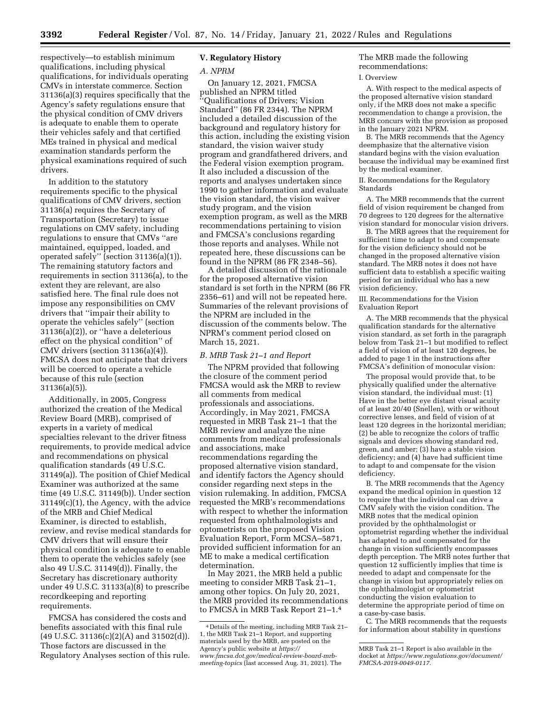respectively—to establish minimum qualifications, including physical qualifications, for individuals operating CMVs in interstate commerce. Section 31136(a)(3) requires specifically that the Agency's safety regulations ensure that the physical condition of CMV drivers is adequate to enable them to operate their vehicles safely and that certified MEs trained in physical and medical examination standards perform the physical examinations required of such drivers.

In addition to the statutory requirements specific to the physical qualifications of CMV drivers, section 31136(a) requires the Secretary of Transportation (Secretary) to issue regulations on CMV safety, including regulations to ensure that CMVs ''are maintained, equipped, loaded, and operated safely'' (section 31136(a)(1)). The remaining statutory factors and requirements in section 31136(a), to the extent they are relevant, are also satisfied here. The final rule does not impose any responsibilities on CMV drivers that ''impair their ability to operate the vehicles safely'' (section 31136(a)(2)), or ''have a deleterious effect on the physical condition'' of CMV drivers (section 31136(a)(4)). FMCSA does not anticipate that drivers will be coerced to operate a vehicle because of this rule (section 31136(a)(5)).

Additionally, in 2005, Congress authorized the creation of the Medical Review Board (MRB), comprised of experts in a variety of medical specialties relevant to the driver fitness requirements, to provide medical advice and recommendations on physical qualification standards (49 U.S.C. 31149(a)). The position of Chief Medical Examiner was authorized at the same time (49 U.S.C. 31149(b)). Under section 31149(c)(1), the Agency, with the advice of the MRB and Chief Medical Examiner, is directed to establish, review, and revise medical standards for CMV drivers that will ensure their physical condition is adequate to enable them to operate the vehicles safely (see also 49 U.S.C. 31149(d)). Finally, the Secretary has discretionary authority under 49 U.S.C. 31133(a)(8) to prescribe recordkeeping and reporting requirements.

FMCSA has considered the costs and benefits associated with this final rule  $(49 \text{ U.S.C. } 31136(c)(2)(A)$  and  $31502(d))$ . Those factors are discussed in the Regulatory Analyses section of this rule.

# **V. Regulatory History**

#### *A. NPRM*

On January 12, 2021, FMCSA published an NPRM titled<br>"Openlife" 'Qualifications of Drivers; Vision Standard'' (86 FR 2344). The NPRM included a detailed discussion of the background and regulatory history for this action, including the existing vision standard, the vision waiver study program and grandfathered drivers, and the Federal vision exemption program. It also included a discussion of the reports and analyses undertaken since 1990 to gather information and evaluate the vision standard, the vision waiver study program, and the vision exemption program, as well as the MRB recommendations pertaining to vision and FMCSA's conclusions regarding those reports and analyses. While not repeated here, these discussions can be found in the NPRM (86 FR 2348–56).

A detailed discussion of the rationale for the proposed alternative vision standard is set forth in the NPRM (86 FR 2356–61) and will not be repeated here. Summaries of the relevant provisions of the NPRM are included in the discussion of the comments below. The NPRM's comment period closed on March 15, 2021.

#### *B. MRB Task 21–1 and Report*

The NPRM provided that following the closure of the comment period FMCSA would ask the MRB to review all comments from medical professionals and associations. Accordingly, in May 2021, FMCSA requested in MRB Task 21–1 that the MRB review and analyze the nine comments from medical professionals and associations, make recommendations regarding the proposed alternative vision standard, and identify factors the Agency should consider regarding next steps in the vision rulemaking. In addition, FMCSA requested the MRB's recommendations with respect to whether the information requested from ophthalmologists and optometrists on the proposed Vision Evaluation Report, Form MCSA–5871, provided sufficient information for an ME to make a medical certification determination.

In May 2021, the MRB held a public meeting to consider MRB Task 21–1, among other topics. On July 20, 2021, the MRB provided its recommendations to FMCSA in MRB Task Report 21–1.4

# The MRB made the following recommendations:

#### I. Overview

A. With respect to the medical aspects of the proposed alternative vision standard only, if the MRB does not make a specific recommendation to change a provision, the MRB concurs with the provision as proposed in the January 2021 NPRM.

B. The MRB recommends that the Agency deemphasize that the alternative vision standard begins with the vision evaluation because the individual may be examined first by the medical examiner.

II. Recommendations for the Regulatory Standards

A. The MRB recommends that the current field of vision requirement be changed from 70 degrees to 120 degrees for the alternative vision standard for monocular vision drivers.

B. The MRB agrees that the requirement for sufficient time to adapt to and compensate for the vision deficiency should not be changed in the proposed alternative vision standard. The MRB notes it does not have sufficient data to establish a specific waiting period for an individual who has a new vision deficiency.

III. Recommendations for the Vision Evaluation Report

A. The MRB recommends that the physical qualification standards for the alternative vision standard, as set forth in the paragraph below from Task 21–1 but modified to reflect a field of vision of at least 120 degrees, be added to page 1 in the instructions after FMCSA's definition of monocular vision:

The proposal would provide that, to be physically qualified under the alternative vision standard, the individual must: (1) Have in the better eye distant visual acuity of at least 20/40 (Snellen), with or without corrective lenses, and field of vision of at least 120 degrees in the horizontal meridian; (2) be able to recognize the colors of traffic signals and devices showing standard red, green, and amber; (3) have a stable vision deficiency; and (4) have had sufficient time to adapt to and compensate for the vision deficiency.

B. The MRB recommends that the Agency expand the medical opinion in question 12 to require that the individual can drive a CMV safely with the vision condition. The MRB notes that the medical opinion provided by the ophthalmologist or optometrist regarding whether the individual has adapted to and compensated for the change in vision sufficiently encompasses depth perception. The MRB notes further that question 12 sufficiently implies that time is needed to adapt and compensate for the change in vision but appropriately relies on the ophthalmologist or optometrist conducting the vision evaluation to determine the appropriate period of time on a case-by-case basis.

C. The MRB recommends that the requests for information about stability in questions

<sup>4</sup> Details of the meeting, including MRB Task 21– 1, the MRB Task 21–1 Report, and supporting materials used by the MRB, are posted on the Agency's public website at *[https://](https://www.fmcsa.dot.gov/medical-review-board-mrb-meeting-topics) [www.fmcsa.dot.gov/medical-review-board-mrb](https://www.fmcsa.dot.gov/medical-review-board-mrb-meeting-topics)[meeting-topics](https://www.fmcsa.dot.gov/medical-review-board-mrb-meeting-topics)* (last accessed Aug. 31, 2021). The

MRB Task 21–1 Report is also available in the docket at *[https://www.regulations.gov/document/](https://www.regulations.gov/document/FMCSA-2019-0049-0117) [FMCSA-2019-0049-0117.](https://www.regulations.gov/document/FMCSA-2019-0049-0117)*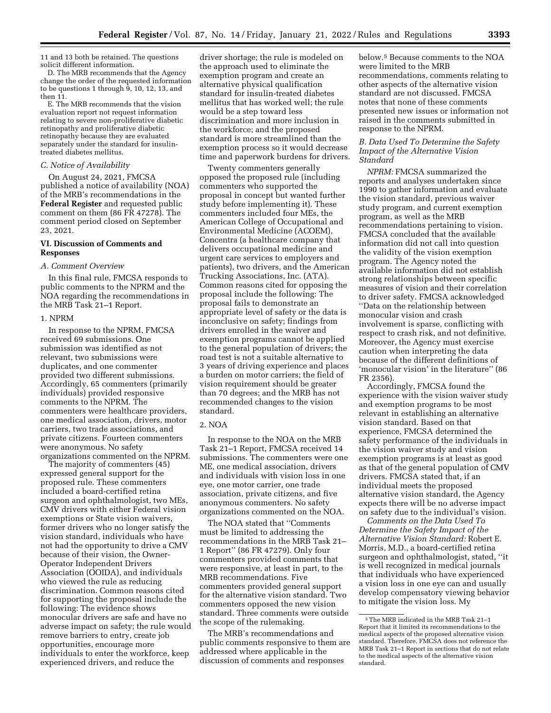11 and 13 both be retained. The questions solicit different information.

D. The MRB recommends that the Agency change the order of the requested information to be questions 1 through 9, 10, 12, 13, and then 11.

E. The MRB recommends that the vision evaluation report not request information relating to severe non-proliferative diabetic retinopathy and proliferative diabetic retinopathy because they are evaluated separately under the standard for insulintreated diabetes mellitus.

#### *C. Notice of Availability*

On August 24, 2021, FMCSA published a notice of availability (NOA) of the MRB's recommendations in the **Federal Register** and requested public comment on them (86 FR 47278). The comment period closed on September 23, 2021.

#### **VI. Discussion of Comments and Responses**

#### *A. Comment Overview*

In this final rule, FMCSA responds to public comments to the NPRM and the NOA regarding the recommendations in the MRB Task 21–1 Report.

#### 1. NPRM

In response to the NPRM, FMCSA received 69 submissions. One submission was identified as not relevant, two submissions were duplicates, and one commenter provided two different submissions. Accordingly, 65 commenters (primarily individuals) provided responsive comments to the NPRM. The commenters were healthcare providers, one medical association, drivers, motor carriers, two trade associations, and private citizens. Fourteen commenters were anonymous. No safety organizations commented on the NPRM.

The majority of commenters (45) expressed general support for the proposed rule. These commenters included a board-certified retina surgeon and ophthalmologist, two MEs, CMV drivers with either Federal vision exemptions or State vision waivers, former drivers who no longer satisfy the vision standard, individuals who have not had the opportunity to drive a CMV because of their vision, the Owner-Operator Independent Drivers Association (OOIDA), and individuals who viewed the rule as reducing discrimination. Common reasons cited for supporting the proposal include the following: The evidence shows monocular drivers are safe and have no adverse impact on safety; the rule would remove barriers to entry, create job opportunities, encourage more individuals to enter the workforce, keep experienced drivers, and reduce the

driver shortage; the rule is modeled on the approach used to eliminate the exemption program and create an alternative physical qualification standard for insulin-treated diabetes mellitus that has worked well; the rule would be a step toward less discrimination and more inclusion in the workforce; and the proposed standard is more streamlined than the exemption process so it would decrease time and paperwork burdens for drivers.

Twenty commenters generally opposed the proposed rule (including commenters who supported the proposal in concept but wanted further study before implementing it). These commenters included four MEs, the American College of Occupational and Environmental Medicine (ACOEM), Concentra (a healthcare company that delivers occupational medicine and urgent care services to employers and patients), two drivers, and the American Trucking Associations, Inc. (ATA). Common reasons cited for opposing the proposal include the following: The proposal fails to demonstrate an appropriate level of safety or the data is inconclusive on safety; findings from drivers enrolled in the waiver and exemption programs cannot be applied to the general population of drivers; the road test is not a suitable alternative to 3 years of driving experience and places a burden on motor carriers; the field of vision requirement should be greater than 70 degrees; and the MRB has not recommended changes to the vision standard.

#### 2. NOA

In response to the NOA on the MRB Task 21–1 Report, FMCSA received 14 submissions. The commenters were one ME, one medical association, drivers and individuals with vision loss in one eye, one motor carrier, one trade association, private citizens, and five anonymous commenters. No safety organizations commented on the NOA.

The NOA stated that ''Comments must be limited to addressing the recommendations in the MRB Task 21– 1 Report'' (86 FR 47279). Only four commenters provided comments that were responsive, at least in part, to the MRB recommendations. Five commenters provided general support for the alternative vision standard. Two commenters opposed the new vision standard. Three comments were outside the scope of the rulemaking.

The MRB's recommendations and public comments responsive to them are addressed where applicable in the discussion of comments and responses

below.5 Because comments to the NOA were limited to the MRB recommendations, comments relating to other aspects of the alternative vision standard are not discussed. FMCSA notes that none of these comments presented new issues or information not raised in the comments submitted in response to the NPRM.

### *B. Data Used To Determine the Safety Impact of the Alternative Vision Standard*

*NPRM:* FMCSA summarized the reports and analyses undertaken since 1990 to gather information and evaluate the vision standard, previous waiver study program, and current exemption program, as well as the MRB recommendations pertaining to vision. FMCSA concluded that the available information did not call into question the validity of the vision exemption program. The Agency noted the available information did not establish strong relationships between specific measures of vision and their correlation to driver safety. FMCSA acknowledged ''Data on the relationship between monocular vision and crash involvement is sparse, conflicting with respect to crash risk, and not definitive. Moreover, the Agency must exercise caution when interpreting the data because of the different definitions of 'monocular vision' in the literature'' (86 FR 2356).

Accordingly, FMCSA found the experience with the vision waiver study and exemption programs to be most relevant in establishing an alternative vision standard. Based on that experience, FMCSA determined the safety performance of the individuals in the vision waiver study and vision exemption programs is at least as good as that of the general population of CMV drivers. FMCSA stated that, if an individual meets the proposed alternative vision standard, the Agency expects there will be no adverse impact on safety due to the individual's vision.

*Comments on the Data Used To Determine the Safety Impact of the Alternative Vision Standard:* Robert E. Morris, M.D., a board-certified retina surgeon and ophthalmologist, stated, ''it is well recognized in medical journals that individuals who have experienced a vision loss in one eye can and usually develop compensatory viewing behavior to mitigate the vision loss. My

<sup>5</sup>The MRB indicated in the MRB Task 21–1 Report that it limited its recommendations to the medical aspects of the proposed alternative vision standard. Therefore, FMCSA does not reference the MRB Task 21–1 Report in sections that do not relate to the medical aspects of the alternative vision standard.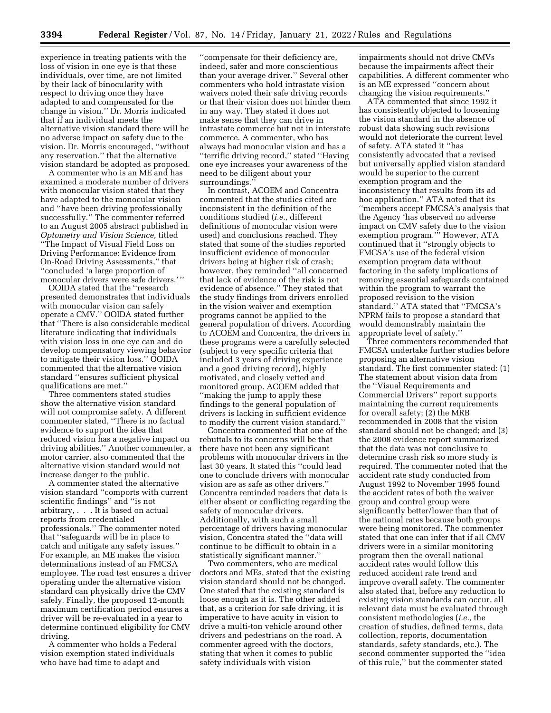experience in treating patients with the loss of vision in one eye is that these individuals, over time, are not limited by their lack of binocularity with respect to driving once they have adapted to and compensated for the change in vision.'' Dr. Morris indicated that if an individual meets the alternative vision standard there will be no adverse impact on safety due to the vision. Dr. Morris encouraged, ''without any reservation,'' that the alternative vision standard be adopted as proposed.

A commenter who is an ME and has examined a moderate number of drivers with monocular vision stated that they have adapted to the monocular vision and ''have been driving professionally successfully.'' The commenter referred to an August 2005 abstract published in *Optometry and Vision Science,* titled ''The Impact of Visual Field Loss on Driving Performance: Evidence from On-Road Driving Assessments,'' that ''concluded 'a large proportion of monocular drivers were safe drivers.' ''

OOIDA stated that the ''research presented demonstrates that individuals with monocular vision can safely operate a CMV.'' OOIDA stated further that ''There is also considerable medical literature indicating that individuals with vision loss in one eye can and do develop compensatory viewing behavior to mitigate their vision loss.'' OOIDA commented that the alternative vision standard ''ensures sufficient physical qualifications are met.''

Three commenters stated studies show the alternative vision standard will not compromise safety. A different commenter stated, ''There is no factual evidence to support the idea that reduced vision has a negative impact on driving abilities.'' Another commenter, a motor carrier, also commented that the alternative vision standard would not increase danger to the public.

A commenter stated the alternative vision standard ''comports with current scientific findings'' and ''is not arbitrary, . . . It is based on actual reports from credentialed professionals.'' The commenter noted that ''safeguards will be in place to catch and mitigate any safety issues.'' For example, an ME makes the vision determinations instead of an FMCSA employee. The road test ensures a driver operating under the alternative vision standard can physically drive the CMV safely. Finally, the proposed 12-month maximum certification period ensures a driver will be re-evaluated in a year to determine continued eligibility for CMV driving.

A commenter who holds a Federal vision exemption stated individuals who have had time to adapt and

''compensate for their deficiency are, indeed, safer and more conscientious than your average driver.'' Several other commenters who hold intrastate vision waivers noted their safe driving records or that their vision does not hinder them in any way. They stated it does not make sense that they can drive in intrastate commerce but not in interstate commerce. A commenter, who has always had monocular vision and has a ''terrific driving record,'' stated ''Having one eye increases your awareness of the need to be diligent about your surroundings.''

In contrast, ACOEM and Concentra commented that the studies cited are inconsistent in the definition of the conditions studied (*i.e.,* different definitions of monocular vision were used) and conclusions reached. They stated that some of the studies reported insufficient evidence of monocular drivers being at higher risk of crash; however, they reminded ''all concerned that lack of evidence of the risk is not evidence of absence.'' They stated that the study findings from drivers enrolled in the vision waiver and exemption programs cannot be applied to the general population of drivers. According to ACOEM and Concentra, the drivers in these programs were a carefully selected (subject to very specific criteria that included 3 years of driving experience and a good driving record), highly motivated, and closely vetted and monitored group. ACOEM added that ''making the jump to apply these findings to the general population of drivers is lacking in sufficient evidence to modify the current vision standard.''

Concentra commented that one of the rebuttals to its concerns will be that there have not been any significant problems with monocular drivers in the last 30 years. It stated this ''could lead one to conclude drivers with monocular vision are as safe as other drivers.'' Concentra reminded readers that data is either absent or conflicting regarding the safety of monocular drivers. Additionally, with such a small percentage of drivers having monocular vision, Concentra stated the ''data will continue to be difficult to obtain in a statistically significant manner.''

Two commenters, who are medical doctors and MEs, stated that the existing vision standard should not be changed. One stated that the existing standard is loose enough as it is. The other added that, as a criterion for safe driving, it is imperative to have acuity in vision to drive a multi-ton vehicle around other drivers and pedestrians on the road. A commenter agreed with the doctors, stating that when it comes to public safety individuals with vision

impairments should not drive CMVs because the impairments affect their capabilities. A different commenter who is an ME expressed ''concern about changing the vision requirements.''

ATA commented that since 1992 it has consistently objected to loosening the vision standard in the absence of robust data showing such revisions would not deteriorate the current level of safety. ATA stated it ''has consistently advocated that a revised but universally applied vision standard would be superior to the current exemption program and the inconsistency that results from its ad hoc application.'' ATA noted that its ''members accept FMCSA's analysis that the Agency 'has observed no adverse impact on CMV safety due to the vision exemption program.''' However, ATA continued that it ''strongly objects to FMCSA's use of the federal vision exemption program data without factoring in the safety implications of removing essential safeguards contained within the program to warrant the proposed revision to the vision standard.'' ATA stated that ''FMCSA's NPRM fails to propose a standard that would demonstrably maintain the appropriate level of safety.''

Three commenters recommended that FMCSA undertake further studies before proposing an alternative vision standard. The first commenter stated: (1) The statement about vision data from the ''Visual Requirements and Commercial Drivers'' report supports maintaining the current requirements for overall safety; (2) the MRB recommended in 2008 that the vision standard should not be changed; and (3) the 2008 evidence report summarized that the data was not conclusive to determine crash risk so more study is required. The commenter noted that the accident rate study conducted from August 1992 to November 1995 found the accident rates of both the waiver group and control group were significantly better/lower than that of the national rates because both groups were being monitored. The commenter stated that one can infer that if all CMV drivers were in a similar monitoring program then the overall national accident rates would follow this reduced accident rate trend and improve overall safety. The commenter also stated that, before any reduction to existing vision standards can occur, all relevant data must be evaluated through consistent methodologies (*i.e.,* the creation of studies, defined terms, data collection, reports, documentation standards, safety standards, etc.). The second commenter supported the ''idea of this rule,'' but the commenter stated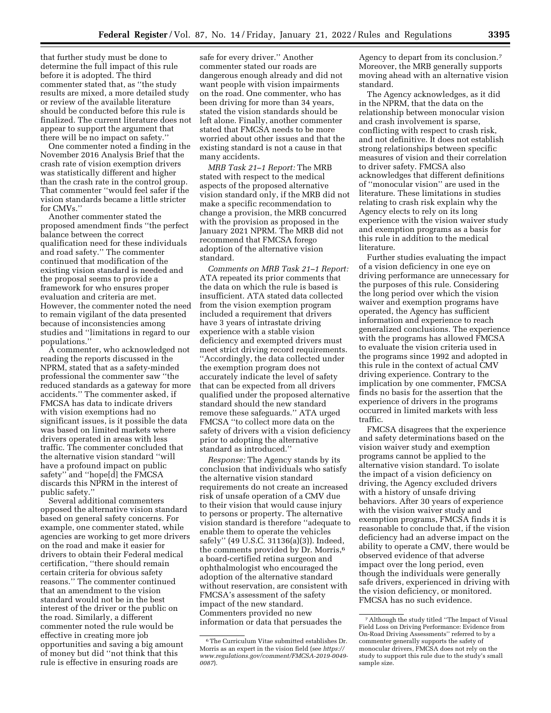that further study must be done to determine the full impact of this rule before it is adopted. The third commenter stated that, as ''the study results are mixed, a more detailed study or review of the available literature should be conducted before this rule is finalized. The current literature does not appear to support the argument that there will be no impact on safety.''

One commenter noted a finding in the November 2016 Analysis Brief that the crash rate of vision exemption drivers was statistically different and higher than the crash rate in the control group. That commenter ''would feel safer if the vision standards became a little stricter for CMVs.''

Another commenter stated the proposed amendment finds ''the perfect balance between the correct qualification need for these individuals and road safety.'' The commenter continued that modification of the existing vision standard is needed and the proposal seems to provide a framework for who ensures proper evaluation and criteria are met. However, the commenter noted the need to remain vigilant of the data presented because of inconsistencies among studies and ''limitations in regard to our populations.''

A commenter, who acknowledged not reading the reports discussed in the NPRM, stated that as a safety-minded professional the commenter saw ''the reduced standards as a gateway for more accidents.'' The commenter asked, if FMCSA has data to indicate drivers with vision exemptions had no significant issues, is it possible the data was based on limited markets where drivers operated in areas with less traffic. The commenter concluded that the alternative vision standard ''will have a profound impact on public safety'' and ''hope[d] the FMCSA discards this NPRM in the interest of public safety.''

Several additional commenters opposed the alternative vision standard based on general safety concerns. For example, one commenter stated, while agencies are working to get more drivers on the road and make it easier for drivers to obtain their Federal medical certification, ''there should remain certain criteria for obvious safety reasons.'' The commenter continued that an amendment to the vision standard would not be in the best interest of the driver or the public on the road. Similarly, a different commenter noted the rule would be effective in creating more job opportunities and saving a big amount of money but did ''not think that this rule is effective in ensuring roads are

safe for every driver.'' Another commenter stated our roads are dangerous enough already and did not want people with vision impairments on the road. One commenter, who has been driving for more than 34 years, stated the vision standards should be left alone. Finally, another commenter stated that FMCSA needs to be more worried about other issues and that the existing standard is not a cause in that many accidents.

*MRB Task 21–1 Report:* The MRB stated with respect to the medical aspects of the proposed alternative vision standard only, if the MRB did not make a specific recommendation to change a provision, the MRB concurred with the provision as proposed in the January 2021 NPRM. The MRB did not recommend that FMCSA forego adoption of the alternative vision standard.

*Comments on MRB Task 21–1 Report:*  ATA repeated its prior comments that the data on which the rule is based is insufficient. ATA stated data collected from the vision exemption program included a requirement that drivers have 3 years of intrastate driving experience with a stable vision deficiency and exempted drivers must meet strict driving record requirements. ''Accordingly, the data collected under the exemption program does not accurately indicate the level of safety that can be expected from all drivers qualified under the proposed alternative standard should the new standard remove these safeguards.'' ATA urged FMCSA ''to collect more data on the safety of drivers with a vision deficiency prior to adopting the alternative standard as introduced.''

*Response:* The Agency stands by its conclusion that individuals who satisfy the alternative vision standard requirements do not create an increased risk of unsafe operation of a CMV due to their vision that would cause injury to persons or property. The alternative vision standard is therefore ''adequate to enable them to operate the vehicles safely'' (49 U.S.C. 31136(a)(3)). Indeed, the comments provided by Dr. Morris,6 a board-certified retina surgeon and ophthalmologist who encouraged the adoption of the alternative standard without reservation, are consistent with FMCSA's assessment of the safety impact of the new standard. Commenters provided no new information or data that persuades the

Agency to depart from its conclusion.7 Moreover, the MRB generally supports moving ahead with an alternative vision standard.

The Agency acknowledges, as it did in the NPRM, that the data on the relationship between monocular vision and crash involvement is sparse, conflicting with respect to crash risk, and not definitive. It does not establish strong relationships between specific measures of vision and their correlation to driver safety. FMCSA also acknowledges that different definitions of ''monocular vision'' are used in the literature. These limitations in studies relating to crash risk explain why the Agency elects to rely on its long experience with the vision waiver study and exemption programs as a basis for this rule in addition to the medical literature.

Further studies evaluating the impact of a vision deficiency in one eye on driving performance are unnecessary for the purposes of this rule. Considering the long period over which the vision waiver and exemption programs have operated, the Agency has sufficient information and experience to reach generalized conclusions. The experience with the programs has allowed FMCSA to evaluate the vision criteria used in the programs since 1992 and adopted in this rule in the context of actual CMV driving experience. Contrary to the implication by one commenter, FMCSA finds no basis for the assertion that the experience of drivers in the programs occurred in limited markets with less traffic.

FMCSA disagrees that the experience and safety determinations based on the vision waiver study and exemption programs cannot be applied to the alternative vision standard. To isolate the impact of a vision deficiency on driving, the Agency excluded drivers with a history of unsafe driving behaviors. After 30 years of experience with the vision waiver study and exemption programs, FMCSA finds it is reasonable to conclude that, if the vision deficiency had an adverse impact on the ability to operate a CMV, there would be observed evidence of that adverse impact over the long period, even though the individuals were generally safe drivers, experienced in driving with the vision deficiency, or monitored. FMCSA has no such evidence.

<sup>6</sup>The Curriculum Vitae submitted establishes Dr. Morris as an expert in the vision field (see *[https://](https://www.regulations.gov/comment/FMCSA-2019-0049-0087)  [www.regulations.gov/comment/FMCSA-2019-0049-](https://www.regulations.gov/comment/FMCSA-2019-0049-0087)  [0087](https://www.regulations.gov/comment/FMCSA-2019-0049-0087)*).

<sup>7</sup>Although the study titled ''The Impact of Visual Field Loss on Driving Performance: Evidence from On-Road Driving Assessments'' referred to by a commenter generally supports the safety of monocular drivers, FMCSA does not rely on the study to support this rule due to the study's small sample size.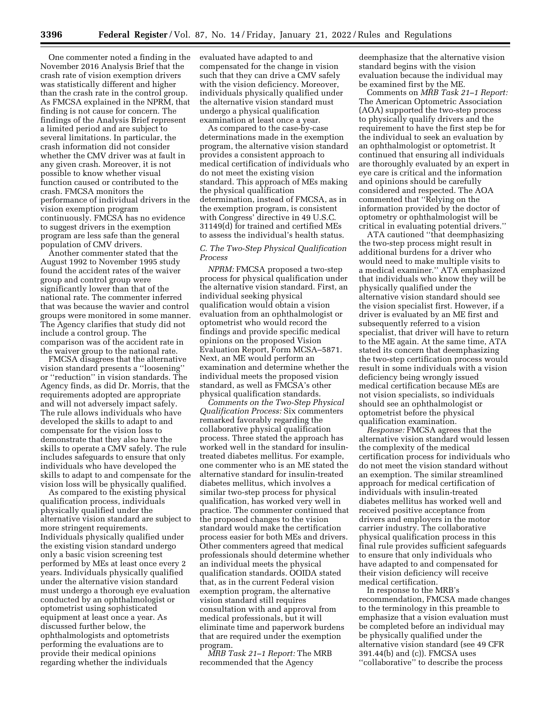One commenter noted a finding in the November 2016 Analysis Brief that the crash rate of vision exemption drivers was statistically different and higher than the crash rate in the control group. As FMCSA explained in the NPRM, that finding is not cause for concern. The findings of the Analysis Brief represent a limited period and are subject to several limitations. In particular, the crash information did not consider whether the CMV driver was at fault in any given crash. Moreover, it is not possible to know whether visual function caused or contributed to the crash. FMCSA monitors the performance of individual drivers in the vision exemption program continuously. FMCSA has no evidence to suggest drivers in the exemption program are less safe than the general population of CMV drivers.

Another commenter stated that the August 1992 to November 1995 study found the accident rates of the waiver group and control group were significantly lower than that of the national rate. The commenter inferred that was because the wavier and control groups were monitored in some manner. The Agency clarifies that study did not include a control group. The comparison was of the accident rate in the waiver group to the national rate.

FMCSA disagrees that the alternative vision standard presents a ''loosening'' or ''reduction'' in vision standards. The Agency finds, as did Dr. Morris, that the requirements adopted are appropriate and will not adversely impact safely. The rule allows individuals who have developed the skills to adapt to and compensate for the vision loss to demonstrate that they also have the skills to operate a CMV safely. The rule includes safeguards to ensure that only individuals who have developed the skills to adapt to and compensate for the vision loss will be physically qualified.

As compared to the existing physical qualification process, individuals physically qualified under the alternative vision standard are subject to more stringent requirements. Individuals physically qualified under the existing vision standard undergo only a basic vision screening test performed by MEs at least once every 2 years. Individuals physically qualified under the alternative vision standard must undergo a thorough eye evaluation conducted by an ophthalmologist or optometrist using sophisticated equipment at least once a year. As discussed further below, the ophthalmologists and optometrists performing the evaluations are to provide their medical opinions regarding whether the individuals

evaluated have adapted to and compensated for the change in vision such that they can drive a CMV safely with the vision deficiency. Moreover, individuals physically qualified under the alternative vision standard must undergo a physical qualification examination at least once a year.

As compared to the case-by-case determinations made in the exemption program, the alternative vision standard provides a consistent approach to medical certification of individuals who do not meet the existing vision standard. This approach of MEs making the physical qualification determination, instead of FMCSA, as in the exemption program, is consistent with Congress' directive in 49 U.S.C. 31149(d) for trained and certified MEs to assess the individual's health status.

### *C. The Two-Step Physical Qualification Process*

*NPRM:* FMCSA proposed a two-step process for physical qualification under the alternative vision standard. First, an individual seeking physical qualification would obtain a vision evaluation from an ophthalmologist or optometrist who would record the findings and provide specific medical opinions on the proposed Vision Evaluation Report, Form MCSA–5871. Next, an ME would perform an examination and determine whether the individual meets the proposed vision standard, as well as FMCSA's other physical qualification standards.

*Comments on the Two-Step Physical Qualification Process:* Six commenters remarked favorably regarding the collaborative physical qualification process. Three stated the approach has worked well in the standard for insulintreated diabetes mellitus. For example, one commenter who is an ME stated the alternative standard for insulin-treated diabetes mellitus, which involves a similar two-step process for physical qualification, has worked very well in practice. The commenter continued that the proposed changes to the vision standard would make the certification process easier for both MEs and drivers. Other commenters agreed that medical professionals should determine whether an individual meets the physical qualification standards. OOIDA stated that, as in the current Federal vision exemption program, the alternative vision standard still requires consultation with and approval from medical professionals, but it will eliminate time and paperwork burdens that are required under the exemption program.

*MRB Task 21–1 Report:* The MRB recommended that the Agency

deemphasize that the alternative vision standard begins with the vision evaluation because the individual may be examined first by the ME.

Comments on *MRB Task 21–1 Report:*  The American Optometric Association (AOA) supported the two-step process to physically qualify drivers and the requirement to have the first step be for the individual to seek an evaluation by an ophthalmologist or optometrist. It continued that ensuring all individuals are thoroughly evaluated by an expert in eye care is critical and the information and opinions should be carefully considered and respected. The AOA commented that ''Relying on the information provided by the doctor of optometry or ophthalmologist will be critical in evaluating potential drivers.''

ATA cautioned ''that deemphasizing the two-step process might result in additional burdens for a driver who would need to make multiple visits to a medical examiner.'' ATA emphasized that individuals who know they will be physically qualified under the alternative vision standard should see the vision specialist first. However, if a driver is evaluated by an ME first and subsequently referred to a vision specialist, that driver will have to return to the ME again. At the same time, ATA stated its concern that deemphasizing the two-step certification process would result in some individuals with a vision deficiency being wrongly issued medical certification because MEs are not vision specialists, so individuals should see an ophthalmologist or optometrist before the physical qualification examination.

*Response:* FMCSA agrees that the alternative vision standard would lessen the complexity of the medical certification process for individuals who do not meet the vision standard without an exemption. The similar streamlined approach for medical certification of individuals with insulin-treated diabetes mellitus has worked well and received positive acceptance from drivers and employers in the motor carrier industry. The collaborative physical qualification process in this final rule provides sufficient safeguards to ensure that only individuals who have adapted to and compensated for their vision deficiency will receive medical certification.

In response to the MRB's recommendation, FMCSA made changes to the terminology in this preamble to emphasize that a vision evaluation must be completed before an individual may be physically qualified under the alternative vision standard (see 49 CFR 391.44(b) and (c)). FMCSA uses ''collaborative'' to describe the process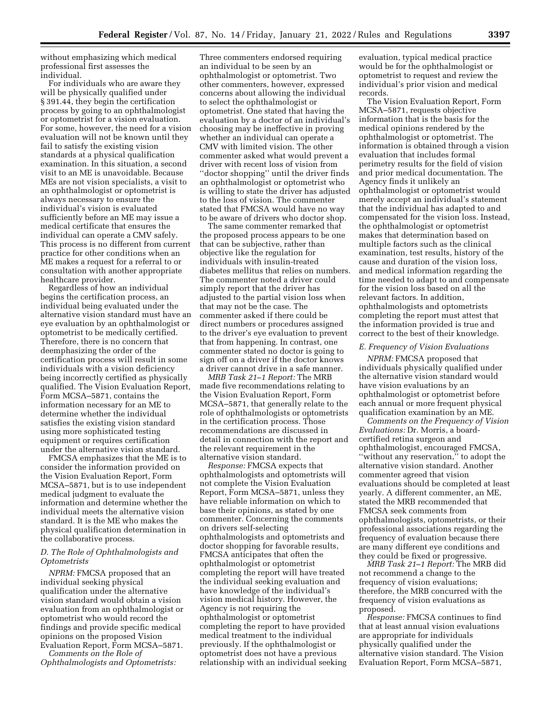without emphasizing which medical professional first assesses the individual.

For individuals who are aware they will be physically qualified under § 391.44, they begin the certification process by going to an ophthalmologist or optometrist for a vision evaluation. For some, however, the need for a vision evaluation will not be known until they fail to satisfy the existing vision standards at a physical qualification examination. In this situation, a second visit to an ME is unavoidable. Because MEs are not vision specialists, a visit to an ophthalmologist or optometrist is always necessary to ensure the individual's vision is evaluated sufficiently before an ME may issue a medical certificate that ensures the individual can operate a CMV safely. This process is no different from current practice for other conditions when an ME makes a request for a referral to or consultation with another appropriate healthcare provider.

Regardless of how an individual begins the certification process, an individual being evaluated under the alternative vision standard must have an eye evaluation by an ophthalmologist or optometrist to be medically certified. Therefore, there is no concern that deemphasizing the order of the certification process will result in some individuals with a vision deficiency being incorrectly certified as physically qualified. The Vision Evaluation Report, Form MCSA–5871, contains the information necessary for an ME to determine whether the individual satisfies the existing vision standard using more sophisticated testing equipment or requires certification under the alternative vision standard.

FMCSA emphasizes that the ME is to consider the information provided on the Vision Evaluation Report, Form MCSA–5871, but is to use independent medical judgment to evaluate the information and determine whether the individual meets the alternative vision standard. It is the ME who makes the physical qualification determination in the collaborative process.

### *D. The Role of Ophthalmologists and Optometrists*

*NPRM:* FMCSA proposed that an individual seeking physical qualification under the alternative vision standard would obtain a vision evaluation from an ophthalmologist or optometrist who would record the findings and provide specific medical opinions on the proposed Vision Evaluation Report, Form MCSA–5871.

*Comments on the Role of Ophthalmologists and Optometrists:* 

Three commenters endorsed requiring an individual to be seen by an ophthalmologist or optometrist. Two other commenters, however, expressed concerns about allowing the individual to select the ophthalmologist or optometrist. One stated that having the evaluation by a doctor of an individual's choosing may be ineffective in proving whether an individual can operate a CMV with limited vision. The other commenter asked what would prevent a driver with recent loss of vision from ''doctor shopping'' until the driver finds an ophthalmologist or optometrist who is willing to state the driver has adjusted to the loss of vision. The commenter stated that FMCSA would have no way to be aware of drivers who doctor shop.

The same commenter remarked that the proposed process appears to be one that can be subjective, rather than objective like the regulation for individuals with insulin-treated diabetes mellitus that relies on numbers. The commenter noted a driver could simply report that the driver has adjusted to the partial vision loss when that may not be the case. The commenter asked if there could be direct numbers or procedures assigned to the driver's eye evaluation to prevent that from happening. In contrast, one commenter stated no doctor is going to sign off on a driver if the doctor knows a driver cannot drive in a safe manner.

*MRB Task 21–1 Report:* The MRB made five recommendations relating to the Vision Evaluation Report, Form MCSA–5871, that generally relate to the role of ophthalmologists or optometrists in the certification process. Those recommendations are discussed in detail in connection with the report and the relevant requirement in the alternative vision standard.

*Response:* FMCSA expects that ophthalmologists and optometrists will not complete the Vision Evaluation Report, Form MCSA–5871, unless they have reliable information on which to base their opinions, as stated by one commenter. Concerning the comments on drivers self-selecting ophthalmologists and optometrists and doctor shopping for favorable results, FMCSA anticipates that often the ophthalmologist or optometrist completing the report will have treated the individual seeking evaluation and have knowledge of the individual's vision medical history. However, the Agency is not requiring the ophthalmologist or optometrist completing the report to have provided medical treatment to the individual previously. If the ophthalmologist or optometrist does not have a previous relationship with an individual seeking

evaluation, typical medical practice would be for the ophthalmologist or optometrist to request and review the individual's prior vision and medical records.

The Vision Evaluation Report, Form MCSA–5871, requests objective information that is the basis for the medical opinions rendered by the ophthalmologist or optometrist. The information is obtained through a vision evaluation that includes formal perimetry results for the field of vision and prior medical documentation. The Agency finds it unlikely an ophthalmologist or optometrist would merely accept an individual's statement that the individual has adapted to and compensated for the vision loss. Instead, the ophthalmologist or optometrist makes that determination based on multiple factors such as the clinical examination, test results, history of the cause and duration of the vision loss, and medical information regarding the time needed to adapt to and compensate for the vision loss based on all the relevant factors. In addition, ophthalmologists and optometrists completing the report must attest that the information provided is true and correct to the best of their knowledge.

#### *E. Frequency of Vision Evaluations*

*NPRM:* FMCSA proposed that individuals physically qualified under the alternative vision standard would have vision evaluations by an ophthalmologist or optometrist before each annual or more frequent physical qualification examination by an ME.

*Comments on the Frequency of Vision Evaluations:* Dr. Morris, a boardcertified retina surgeon and ophthalmologist, encouraged FMCSA, ''without any reservation,'' to adopt the alternative vision standard. Another commenter agreed that vision evaluations should be completed at least yearly. A different commenter, an ME, stated the MRB recommended that FMCSA seek comments from ophthalmologists, optometrists, or their professional associations regarding the frequency of evaluation because there are many different eye conditions and they could be fixed or progressive.

*MRB Task 21–1 Report:* The MRB did not recommend a change to the frequency of vision evaluations; therefore, the MRB concurred with the frequency of vision evaluations as proposed.

*Response:* FMCSA continues to find that at least annual vision evaluations are appropriate for individuals physically qualified under the alternative vision standard. The Vision Evaluation Report, Form MCSA–5871,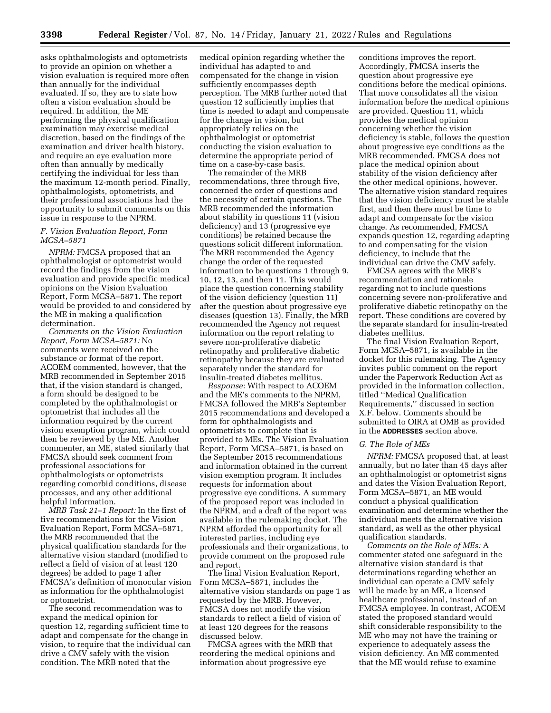asks ophthalmologists and optometrists to provide an opinion on whether a vision evaluation is required more often than annually for the individual evaluated. If so, they are to state how often a vision evaluation should be required. In addition, the ME performing the physical qualification examination may exercise medical discretion, based on the findings of the examination and driver health history, and require an eye evaluation more often than annually by medically certifying the individual for less than the maximum 12-month period. Finally, ophthalmologists, optometrists, and their professional associations had the opportunity to submit comments on this issue in response to the NPRM.

### *F. Vision Evaluation Report, Form MCSA–5871*

*NPRM:* FMCSA proposed that an ophthalmologist or optometrist would record the findings from the vision evaluation and provide specific medical opinions on the Vision Evaluation Report, Form MCSA–5871. The report would be provided to and considered by the ME in making a qualification determination.

*Comments on the Vision Evaluation Report, Form MCSA–5871:* No comments were received on the substance or format of the report. ACOEM commented, however, that the MRB recommended in September 2015 that, if the vision standard is changed, a form should be designed to be completed by the ophthalmologist or optometrist that includes all the information required by the current vision exemption program, which could then be reviewed by the ME. Another commenter, an ME, stated similarly that FMCSA should seek comment from professional associations for ophthalmologists or optometrists regarding comorbid conditions, disease processes, and any other additional helpful information.

*MRB Task 21–1 Report:* In the first of five recommendations for the Vision Evaluation Report, Form MCSA–5871, the MRB recommended that the physical qualification standards for the alternative vision standard (modified to reflect a field of vision of at least 120 degrees) be added to page 1 after FMCSA's definition of monocular vision as information for the ophthalmologist or optometrist.

The second recommendation was to expand the medical opinion for question 12, regarding sufficient time to adapt and compensate for the change in vision, to require that the individual can drive a CMV safely with the vision condition. The MRB noted that the

medical opinion regarding whether the individual has adapted to and compensated for the change in vision sufficiently encompasses depth perception. The MRB further noted that question 12 sufficiently implies that time is needed to adapt and compensate for the change in vision, but appropriately relies on the ophthalmologist or optometrist conducting the vision evaluation to determine the appropriate period of time on a case-by-case basis.

The remainder of the MRB recommendations, three through five, concerned the order of questions and the necessity of certain questions. The MRB recommended the information about stability in questions 11 (vision deficiency) and 13 (progressive eye conditions) be retained because the questions solicit different information. The MRB recommended the Agency change the order of the requested information to be questions 1 through 9, 10, 12, 13, and then 11. This would place the question concerning stability of the vision deficiency (question 11) after the question about progressive eye diseases (question 13). Finally, the MRB recommended the Agency not request information on the report relating to severe non-proliferative diabetic retinopathy and proliferative diabetic retinopathy because they are evaluated separately under the standard for insulin-treated diabetes mellitus.

*Response:* With respect to ACOEM and the ME's comments to the NPRM, FMCSA followed the MRB's September 2015 recommendations and developed a form for ophthalmologists and optometrists to complete that is provided to MEs. The Vision Evaluation Report, Form MCSA–5871, is based on the September 2015 recommendations and information obtained in the current vision exemption program. It includes requests for information about progressive eye conditions. A summary of the proposed report was included in the NPRM, and a draft of the report was available in the rulemaking docket. The NPRM afforded the opportunity for all interested parties, including eye professionals and their organizations, to provide comment on the proposed rule and report.

The final Vision Evaluation Report, Form MCSA–5871, includes the alternative vision standards on page 1 as requested by the MRB. However, FMCSA does not modify the vision standards to reflect a field of vision of at least 120 degrees for the reasons discussed below.

FMCSA agrees with the MRB that reordering the medical opinions and information about progressive eye

conditions improves the report. Accordingly, FMCSA inserts the question about progressive eye conditions before the medical opinions. That move consolidates all the vision information before the medical opinions are provided. Question 11, which provides the medical opinion concerning whether the vision deficiency is stable, follows the question about progressive eye conditions as the MRB recommended. FMCSA does not place the medical opinion about stability of the vision deficiency after the other medical opinions, however. The alternative vision standard requires that the vision deficiency must be stable first, and then there must be time to adapt and compensate for the vision change. As recommended, FMCSA expands question 12, regarding adapting to and compensating for the vision deficiency, to include that the individual can drive the CMV safely.

FMCSA agrees with the MRB's recommendation and rationale regarding not to include questions concerning severe non-proliferative and proliferative diabetic retinopathy on the report. These conditions are covered by the separate standard for insulin-treated diabetes mellitus.

The final Vision Evaluation Report, Form MCSA–5871, is available in the docket for this rulemaking. The Agency invites public comment on the report under the Paperwork Reduction Act as provided in the information collection, titled ''Medical Qualification Requirements,'' discussed in section X.F. below. Comments should be submitted to OIRA at OMB as provided in the **ADDRESSES** section above.

## *G. The Role of MEs*

*NPRM:* FMCSA proposed that, at least annually, but no later than 45 days after an ophthalmologist or optometrist signs and dates the Vision Evaluation Report, Form MCSA–5871, an ME would conduct a physical qualification examination and determine whether the individual meets the alternative vision standard, as well as the other physical qualification standards.

*Comments on the Role of MEs:* A commenter stated one safeguard in the alternative vision standard is that determinations regarding whether an individual can operate a CMV safely will be made by an ME, a licensed healthcare professional, instead of an FMCSA employee. In contrast, ACOEM stated the proposed standard would shift considerable responsibility to the ME who may not have the training or experience to adequately assess the vision deficiency. An ME commented that the ME would refuse to examine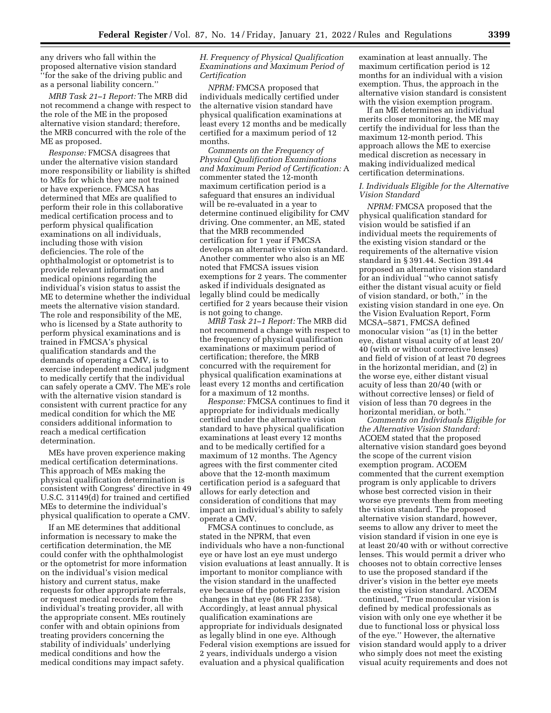any drivers who fall within the proposed alternative vision standard ''for the sake of the driving public and as a personal liability concern.''

*MRB Task 21–1 Report:* The MRB did not recommend a change with respect to the role of the ME in the proposed alternative vision standard; therefore, the MRB concurred with the role of the ME as proposed.

*Response:* FMCSA disagrees that under the alternative vision standard more responsibility or liability is shifted to MEs for which they are not trained or have experience. FMCSA has determined that MEs are qualified to perform their role in this collaborative medical certification process and to perform physical qualification examinations on all individuals, including those with vision deficiencies. The role of the ophthalmologist or optometrist is to provide relevant information and medical opinions regarding the individual's vision status to assist the ME to determine whether the individual meets the alternative vision standard. The role and responsibility of the ME, who is licensed by a State authority to perform physical examinations and is trained in FMCSA's physical qualification standards and the demands of operating a CMV, is to exercise independent medical judgment to medically certify that the individual can safely operate a CMV. The ME's role with the alternative vision standard is consistent with current practice for any medical condition for which the ME considers additional information to reach a medical certification determination.

MEs have proven experience making medical certification determinations. This approach of MEs making the physical qualification determination is consistent with Congress' directive in 49 U.S.C. 31149(d) for trained and certified MEs to determine the individual's physical qualification to operate a CMV.

If an ME determines that additional information is necessary to make the certification determination, the ME could confer with the ophthalmologist or the optometrist for more information on the individual's vision medical history and current status, make requests for other appropriate referrals, or request medical records from the individual's treating provider, all with the appropriate consent. MEs routinely confer with and obtain opinions from treating providers concerning the stability of individuals' underlying medical conditions and how the medical conditions may impact safety.

# *H. Frequency of Physical Qualification Examinations and Maximum Period of Certification*

*NPRM:* FMCSA proposed that individuals medically certified under the alternative vision standard have physical qualification examinations at least every 12 months and be medically certified for a maximum period of 12 months.

*Comments on the Frequency of Physical Qualification Examinations and Maximum Period of Certification:* A commenter stated the 12-month maximum certification period is a safeguard that ensures an individual will be re-evaluated in a year to determine continued eligibility for CMV driving. One commenter, an ME, stated that the MRB recommended certification for 1 year if FMCSA develops an alternative vision standard. Another commenter who also is an ME noted that FMCSA issues vision exemptions for 2 years. The commenter asked if individuals designated as legally blind could be medically certified for 2 years because their vision is not going to change.

*MRB Task 21–1 Report:* The MRB did not recommend a change with respect to the frequency of physical qualification examinations or maximum period of certification; therefore, the MRB concurred with the requirement for physical qualification examinations at least every 12 months and certification for a maximum of 12 months.

*Response:* FMCSA continues to find it appropriate for individuals medically certified under the alternative vision standard to have physical qualification examinations at least every 12 months and to be medically certified for a maximum of 12 months. The Agency agrees with the first commenter cited above that the 12-month maximum certification period is a safeguard that allows for early detection and consideration of conditions that may impact an individual's ability to safely operate a CMV.

FMCSA continues to conclude, as stated in the NPRM, that even individuals who have a non-functional eye or have lost an eye must undergo vision evaluations at least annually. It is important to monitor compliance with the vision standard in the unaffected eye because of the potential for vision changes in that eye (86 FR 2358). Accordingly, at least annual physical qualification examinations are appropriate for individuals designated as legally blind in one eye. Although Federal vision exemptions are issued for 2 years, individuals undergo a vision evaluation and a physical qualification

examination at least annually. The maximum certification period is 12 months for an individual with a vision exemption. Thus, the approach in the alternative vision standard is consistent with the vision exemption program.

If an ME determines an individual merits closer monitoring, the ME may certify the individual for less than the maximum 12-month period. This approach allows the ME to exercise medical discretion as necessary in making individualized medical certification determinations.

# *I. Individuals Eligible for the Alternative Vision Standard*

*NPRM:* FMCSA proposed that the physical qualification standard for vision would be satisfied if an individual meets the requirements of the existing vision standard or the requirements of the alternative vision standard in § 391.44. Section 391.44 proposed an alternative vision standard for an individual ''who cannot satisfy either the distant visual acuity or field of vision standard, or both,'' in the existing vision standard in one eye. On the Vision Evaluation Report, Form MCSA–5871, FMCSA defined monocular vision ''as (1) in the better eye, distant visual acuity of at least 20/ 40 (with or without corrective lenses) and field of vision of at least 70 degrees in the horizontal meridian, and (2) in the worse eye, either distant visual acuity of less than 20/40 (with or without corrective lenses) or field of vision of less than 70 degrees in the horizontal meridian, or both.''

*Comments on Individuals Eligible for the Alternative Vision Standard:*  ACOEM stated that the proposed alternative vision standard goes beyond the scope of the current vision exemption program. ACOEM commented that the current exemption program is only applicable to drivers whose best corrected vision in their worse eye prevents them from meeting the vision standard. The proposed alternative vision standard, however, seems to allow any driver to meet the vision standard if vision in one eye is at least 20/40 with or without corrective lenses. This would permit a driver who chooses not to obtain corrective lenses to use the proposed standard if the driver's vision in the better eye meets the existing vision standard. ACOEM continued, ''True monocular vision is defined by medical professionals as vision with only one eye whether it be due to functional loss or physical loss of the eye.'' However, the alternative vision standard would apply to a driver who simply does not meet the existing visual acuity requirements and does not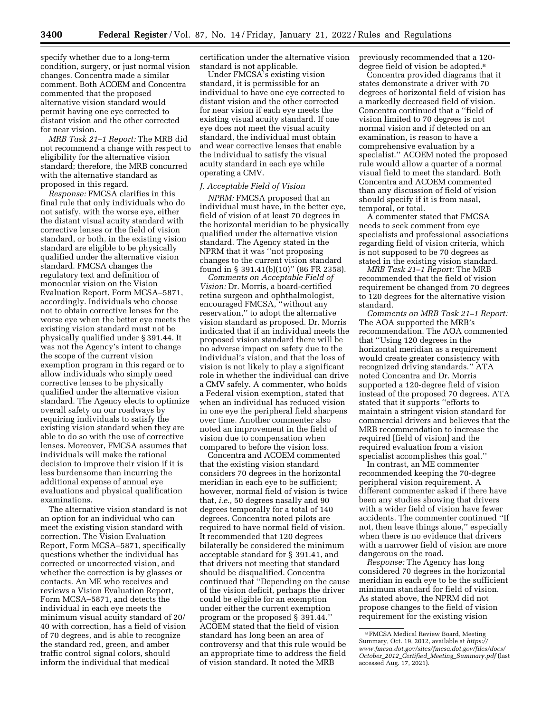specify whether due to a long-term condition, surgery, or just normal vision changes. Concentra made a similar comment. Both ACOEM and Concentra commented that the proposed alternative vision standard would permit having one eye corrected to distant vision and the other corrected for near vision.

*MRB Task 21–1 Report:* The MRB did not recommend a change with respect to eligibility for the alternative vision standard; therefore, the MRB concurred with the alternative standard as proposed in this regard.

*Response:* FMCSA clarifies in this final rule that only individuals who do not satisfy, with the worse eye, either the distant visual acuity standard with corrective lenses or the field of vision standard, or both, in the existing vision standard are eligible to be physically qualified under the alternative vision standard. FMCSA changes the regulatory text and definition of monocular vision on the Vision Evaluation Report, Form MCSA–5871, accordingly. Individuals who choose not to obtain corrective lenses for the worse eye when the better eye meets the existing vision standard must not be physically qualified under § 391.44. It was not the Agency's intent to change the scope of the current vision exemption program in this regard or to allow individuals who simply need corrective lenses to be physically qualified under the alternative vision standard. The Agency elects to optimize overall safety on our roadways by requiring individuals to satisfy the existing vision standard when they are able to do so with the use of corrective lenses. Moreover, FMCSA assumes that individuals will make the rational decision to improve their vision if it is less burdensome than incurring the additional expense of annual eye evaluations and physical qualification examinations.

The alternative vision standard is not an option for an individual who can meet the existing vision standard with correction. The Vision Evaluation Report, Form MCSA–5871, specifically questions whether the individual has corrected or uncorrected vision, and whether the correction is by glasses or contacts. An ME who receives and reviews a Vision Evaluation Report, Form MCSA–5871, and detects the individual in each eye meets the minimum visual acuity standard of 20/ 40 with correction, has a field of vision of 70 degrees, and is able to recognize the standard red, green, and amber traffic control signal colors, should inform the individual that medical

certification under the alternative vision standard is not applicable.

Under FMCSA's existing vision standard, it is permissible for an individual to have one eye corrected to distant vision and the other corrected for near vision if each eye meets the existing visual acuity standard. If one eye does not meet the visual acuity standard, the individual must obtain and wear corrective lenses that enable the individual to satisfy the visual acuity standard in each eye while operating a CMV.

#### *J. Acceptable Field of Vision*

*NPRM:* FMCSA proposed that an individual must have, in the better eye, field of vision of at least 70 degrees in the horizontal meridian to be physically qualified under the alternative vision standard. The Agency stated in the NPRM that it was ''not proposing changes to the current vision standard found in § 391.41(b)(10)'' (86 FR 2358).

*Comments on Acceptable Field of Vision:* Dr. Morris, a board-certified retina surgeon and ophthalmologist, encouraged FMCSA, ''without any reservation,'' to adopt the alternative vision standard as proposed. Dr. Morris indicated that if an individual meets the proposed vision standard there will be no adverse impact on safety due to the individual's vision, and that the loss of vision is not likely to play a significant role in whether the individual can drive a CMV safely. A commenter, who holds a Federal vision exemption, stated that when an individual has reduced vision in one eye the peripheral field sharpens over time. Another commenter also noted an improvement in the field of vision due to compensation when compared to before the vision loss.

Concentra and ACOEM commented that the existing vision standard considers 70 degrees in the horizontal meridian in each eye to be sufficient; however, normal field of vision is twice that, *i.e.,* 50 degrees nasally and 90 degrees temporally for a total of 140 degrees. Concentra noted pilots are required to have normal field of vision. It recommended that 120 degrees bilaterally be considered the minimum acceptable standard for § 391.41, and that drivers not meeting that standard should be disqualified. Concentra continued that ''Depending on the cause of the vision deficit, perhaps the driver could be eligible for an exemption under either the current exemption program or the proposed § 391.44.'' ACOEM stated that the field of vision standard has long been an area of controversy and that this rule would be an appropriate time to address the field of vision standard. It noted the MRB

previously recommended that a 120 degree field of vision be adopted.<sup>8</sup>

Concentra provided diagrams that it states demonstrate a driver with 70 degrees of horizontal field of vision has a markedly decreased field of vision. Concentra continued that a ''field of vision limited to 70 degrees is not normal vision and if detected on an examination, is reason to have a comprehensive evaluation by a specialist.'' ACOEM noted the proposed rule would allow a quarter of a normal visual field to meet the standard. Both Concentra and ACOEM commented than any discussion of field of vision should specify if it is from nasal, temporal, or total.

A commenter stated that FMCSA needs to seek comment from eye specialists and professional associations regarding field of vision criteria, which is not supposed to be 70 degrees as stated in the existing vision standard.

*MRB Task 21–1 Report:* The MRB recommended that the field of vision requirement be changed from 70 degrees to 120 degrees for the alternative vision standard.

*Comments on MRB Task 21–1 Report:*  The AOA supported the MRB's recommendation. The AOA commented that ''Using 120 degrees in the horizontal meridian as a requirement would create greater consistency with recognized driving standards.'' ATA noted Concentra and Dr. Morris supported a 120-degree field of vision instead of the proposed 70 degrees. ATA stated that it supports ''efforts to maintain a stringent vision standard for commercial drivers and believes that the MRB recommendation to increase the required [field of vision] and the required evaluation from a vision specialist accomplishes this goal.''

In contrast, an ME commenter recommended keeping the 70-degree peripheral vision requirement. A different commenter asked if there have been any studies showing that drivers with a wider field of vision have fewer accidents. The commenter continued ''If not, then leave things alone,'' especially when there is no evidence that drivers with a narrower field of vision are more dangerous on the road.

*Response:* The Agency has long considered 70 degrees in the horizontal meridian in each eye to be the sufficient minimum standard for field of vision. As stated above, the NPRM did not propose changes to the field of vision requirement for the existing vision

<sup>8</sup>FMCSA Medical Review Board, Meeting Summary, Oct. 19, 2012, available at *[https://](https://www.fmcsa.dot.gov/sites/fmcsa.dot.gov/files/docs/October_2012_Certified_Meeting_Summary.pdf) [www.fmcsa.dot.gov/sites/fmcsa.dot.gov/files/docs/](https://www.fmcsa.dot.gov/sites/fmcsa.dot.gov/files/docs/October_2012_Certified_Meeting_Summary.pdf)  October*\_*2012*\_*Certified*\_*Meeting*\_*[Summary.pdf](https://www.fmcsa.dot.gov/sites/fmcsa.dot.gov/files/docs/October_2012_Certified_Meeting_Summary.pdf)* (last  $\overline{\text{accessed}}$  Aug. 17, 2021).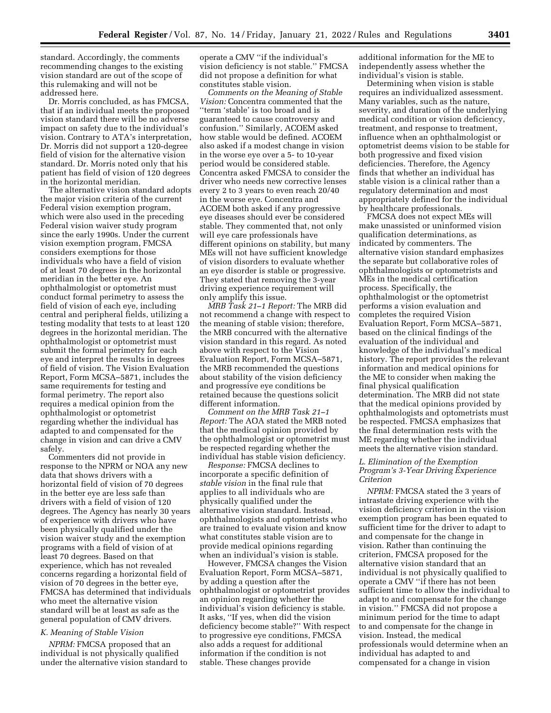standard. Accordingly, the comments recommending changes to the existing vision standard are out of the scope of this rulemaking and will not be addressed here.

Dr. Morris concluded, as has FMCSA, that if an individual meets the proposed vision standard there will be no adverse impact on safety due to the individual's vision. Contrary to ATA's interpretation, Dr. Morris did not support a 120-degree field of vision for the alternative vision standard. Dr. Morris noted only that his patient has field of vision of 120 degrees in the horizontal meridian.

The alternative vision standard adopts the major vision criteria of the current Federal vision exemption program, which were also used in the preceding Federal vision waiver study program since the early 1990s. Under the current vision exemption program, FMCSA considers exemptions for those individuals who have a field of vision of at least 70 degrees in the horizontal meridian in the better eye. An ophthalmologist or optometrist must conduct formal perimetry to assess the field of vision of each eye, including central and peripheral fields, utilizing a testing modality that tests to at least 120 degrees in the horizontal meridian. The ophthalmologist or optometrist must submit the formal perimetry for each eye and interpret the results in degrees of field of vision. The Vision Evaluation Report, Form MCSA–5871, includes the same requirements for testing and formal perimetry. The report also requires a medical opinion from the ophthalmologist or optometrist regarding whether the individual has adapted to and compensated for the change in vision and can drive a CMV safely.

Commenters did not provide in response to the NPRM or NOA any new data that shows drivers with a horizontal field of vision of 70 degrees in the better eye are less safe than drivers with a field of vision of 120 degrees. The Agency has nearly 30 years of experience with drivers who have been physically qualified under the vision waiver study and the exemption programs with a field of vision of at least 70 degrees. Based on that experience, which has not revealed concerns regarding a horizontal field of vision of 70 degrees in the better eye, FMCSA has determined that individuals who meet the alternative vision standard will be at least as safe as the general population of CMV drivers.

### *K. Meaning of Stable Vision*

*NPRM:* FMCSA proposed that an individual is not physically qualified under the alternative vision standard to operate a CMV ''if the individual's vision deficiency is not stable.'' FMCSA did not propose a definition for what constitutes stable vision.

*Comments on the Meaning of Stable Vision:* Concentra commented that the ''term 'stable' is too broad and is guaranteed to cause controversy and confusion.'' Similarly, ACOEM asked how stable would be defined. ACOEM also asked if a modest change in vision in the worse eye over a 5- to 10-year period would be considered stable. Concentra asked FMCSA to consider the driver who needs new corrective lenses every 2 to 3 years to even reach 20/40 in the worse eye. Concentra and ACOEM both asked if any progressive eye diseases should ever be considered stable. They commented that, not only will eye care professionals have different opinions on stability, but many MEs will not have sufficient knowledge of vision disorders to evaluate whether an eye disorder is stable or progressive. They stated that removing the 3-year driving experience requirement will only amplify this issue.

*MRB Task 21–1 Report:* The MRB did not recommend a change with respect to the meaning of stable vision; therefore, the MRB concurred with the alternative vision standard in this regard. As noted above with respect to the Vision Evaluation Report, Form MCSA–5871, the MRB recommended the questions about stability of the vision deficiency and progressive eye conditions be retained because the questions solicit different information.

*Comment on the MRB Task 21–1 Report:* The AOA stated the MRB noted that the medical opinion provided by the ophthalmologist or optometrist must be respected regarding whether the individual has stable vision deficiency.

*Response:* FMCSA declines to incorporate a specific definition of *stable vision* in the final rule that applies to all individuals who are physically qualified under the alternative vision standard. Instead, ophthalmologists and optometrists who are trained to evaluate vision and know what constitutes stable vision are to provide medical opinions regarding when an individual's vision is stable.

However, FMCSA changes the Vision Evaluation Report, Form MCSA–5871, by adding a question after the ophthalmologist or optometrist provides an opinion regarding whether the individual's vision deficiency is stable. It asks, ''If yes, when did the vision deficiency become stable?'' With respect to progressive eye conditions, FMCSA also adds a request for additional information if the condition is not stable. These changes provide

additional information for the ME to independently assess whether the individual's vision is stable.

Determining when vision is stable requires an individualized assessment. Many variables, such as the nature, severity, and duration of the underlying medical condition or vision deficiency, treatment, and response to treatment, influence when an ophthalmologist or optometrist deems vision to be stable for both progressive and fixed vision deficiencies. Therefore, the Agency finds that whether an individual has stable vision is a clinical rather than a regulatory determination and most appropriately defined for the individual by healthcare professionals.

FMCSA does not expect MEs will make unassisted or uninformed vision qualification determinations, as indicated by commenters. The alternative vision standard emphasizes the separate but collaborative roles of ophthalmologists or optometrists and MEs in the medical certification process. Specifically, the ophthalmologist or the optometrist performs a vision evaluation and completes the required Vision Evaluation Report, Form MCSA–5871, based on the clinical findings of the evaluation of the individual and knowledge of the individual's medical history. The report provides the relevant information and medical opinions for the ME to consider when making the final physical qualification determination. The MRB did not state that the medical opinions provided by ophthalmologists and optometrists must be respected. FMCSA emphasizes that the final determination rests with the ME regarding whether the individual meets the alternative vision standard.

### *L. Elimination of the Exemption Program's 3-Year Driving Experience Criterion*

*NPRM:* FMCSA stated the 3 years of intrastate driving experience with the vision deficiency criterion in the vision exemption program has been equated to sufficient time for the driver to adapt to and compensate for the change in vision. Rather than continuing the criterion, FMCSA proposed for the alternative vision standard that an individual is not physically qualified to operate a CMV ''if there has not been sufficient time to allow the individual to adapt to and compensate for the change in vision.'' FMCSA did not propose a minimum period for the time to adapt to and compensate for the change in vision. Instead, the medical professionals would determine when an individual has adapted to and compensated for a change in vision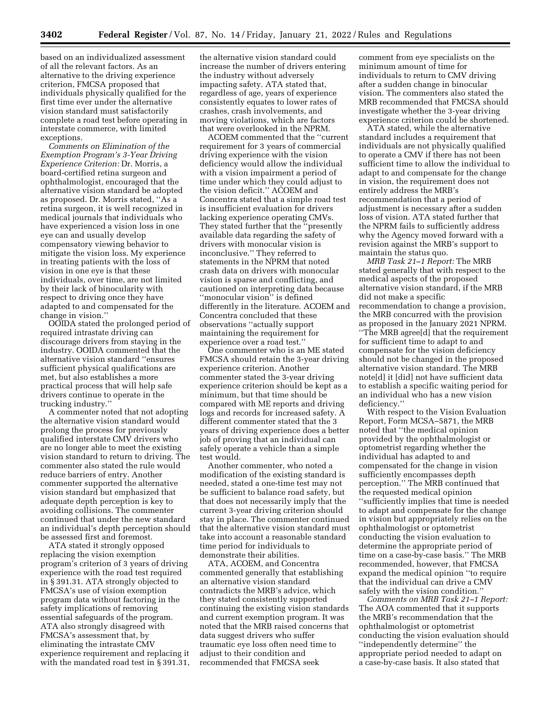based on an individualized assessment of all the relevant factors. As an alternative to the driving experience criterion, FMCSA proposed that individuals physically qualified for the first time ever under the alternative vision standard must satisfactorily complete a road test before operating in interstate commerce, with limited exceptions.

*Comments on Elimination of the Exemption Program's 3-Year Driving Experience Criterion:* Dr. Morris, a board-certified retina surgeon and ophthalmologist, encouraged that the alternative vision standard be adopted as proposed. Dr. Morris stated, ''As a retina surgeon, it is well recognized in medical journals that individuals who have experienced a vision loss in one eye can and usually develop compensatory viewing behavior to mitigate the vision loss. My experience in treating patients with the loss of vision in one eye is that these individuals, over time, are not limited by their lack of binocularity with respect to driving once they have adapted to and compensated for the change in vision.''

OOIDA stated the prolonged period of required intrastate driving can discourage drivers from staying in the industry. OOIDA commented that the alternative vision standard ''ensures sufficient physical qualifications are met, but also establishes a more practical process that will help safe drivers continue to operate in the trucking industry.''

A commenter noted that not adopting the alternative vision standard would prolong the process for previously qualified interstate CMV drivers who are no longer able to meet the existing vision standard to return to driving. The commenter also stated the rule would reduce barriers of entry. Another commenter supported the alternative vision standard but emphasized that adequate depth perception is key to avoiding collisions. The commenter continued that under the new standard an individual's depth perception should be assessed first and foremost.

ATA stated it strongly opposed replacing the vision exemption program's criterion of 3 years of driving experience with the road test required in § 391.31. ATA strongly objected to FMCSA's use of vision exemption program data without factoring in the safety implications of removing essential safeguards of the program. ATA also strongly disagreed with FMCSA's assessment that, by eliminating the intrastate CMV experience requirement and replacing it with the mandated road test in § 391.31,

the alternative vision standard could increase the number of drivers entering the industry without adversely impacting safety. ATA stated that, regardless of age, years of experience consistently equates to lower rates of crashes, crash involvements, and moving violations, which are factors that were overlooked in the NPRM.

ACOEM commented that the ''current requirement for 3 years of commercial driving experience with the vision deficiency would allow the individual with a vision impairment a period of time under which they could adjust to the vision deficit.'' ACOEM and Concentra stated that a simple road test is insufficient evaluation for drivers lacking experience operating CMVs. They stated further that the ''presently available data regarding the safety of drivers with monocular vision is inconclusive.'' They referred to statements in the NPRM that noted crash data on drivers with monocular vision is sparse and conflicting, and cautioned on interpreting data because ''monocular vision'' is defined differently in the literature. ACOEM and Concentra concluded that these observations ''actually support maintaining the requirement for experience over a road test.''

One commenter who is an ME stated FMCSA should retain the 3-year driving experience criterion. Another commenter stated the 3-year driving experience criterion should be kept as a minimum, but that time should be compared with ME reports and driving logs and records for increased safety. A different commenter stated that the 3 years of driving experience does a better job of proving that an individual can safely operate a vehicle than a simple test would.

Another commenter, who noted a modification of the existing standard is needed, stated a one-time test may not be sufficient to balance road safety, but that does not necessarily imply that the current 3-year driving criterion should stay in place. The commenter continued that the alternative vision standard must take into account a reasonable standard time period for individuals to demonstrate their abilities.

ATA, ACOEM, and Concentra commented generally that establishing an alternative vision standard contradicts the MRB's advice, which they stated consistently supported continuing the existing vision standards and current exemption program. It was noted that the MRB raised concerns that data suggest drivers who suffer traumatic eye loss often need time to adjust to their condition and recommended that FMCSA seek

comment from eye specialists on the minimum amount of time for individuals to return to CMV driving after a sudden change in binocular vision. The commenters also stated the MRB recommended that FMCSA should investigate whether the 3-year driving experience criterion could be shortened.

ATA stated, while the alternative standard includes a requirement that individuals are not physically qualified to operate a CMV if there has not been sufficient time to allow the individual to adapt to and compensate for the change in vision, the requirement does not entirely address the MRB's recommendation that a period of adjustment is necessary after a sudden loss of vision. ATA stated further that the NPRM fails to sufficiently address why the Agency moved forward with a revision against the MRB's support to maintain the status quo.

*MRB Task 21–1 Report:* The MRB stated generally that with respect to the medical aspects of the proposed alternative vision standard, if the MRB did not make a specific recommendation to change a provision, the MRB concurred with the provision as proposed in the January 2021 NPRM. ''The MRB agree[d] that the requirement for sufficient time to adapt to and compensate for the vision deficiency should not be changed in the proposed alternative vision standard. The MRB note[d] it [did] not have sufficient data to establish a specific waiting period for an individual who has a new vision deficiency.''

With respect to the Vision Evaluation Report, Form MCSA–5871, the MRB noted that ''the medical opinion provided by the ophthalmologist or optometrist regarding whether the individual has adapted to and compensated for the change in vision sufficiently encompasses depth perception.'' The MRB continued that the requested medical opinion ''sufficiently implies that time is needed to adapt and compensate for the change in vision but appropriately relies on the ophthalmologist or optometrist conducting the vision evaluation to determine the appropriate period of time on a case-by-case basis.'' The MRB recommended, however, that FMCSA expand the medical opinion ''to require that the individual can drive a CMV safely with the vision condition.''

*Comments on MRB Task 21–1 Report:*  The AOA commented that it supports the MRB's recommendation that the ophthalmologist or optometrist conducting the vision evaluation should ''independently determine'' the appropriate period needed to adapt on a case-by-case basis. It also stated that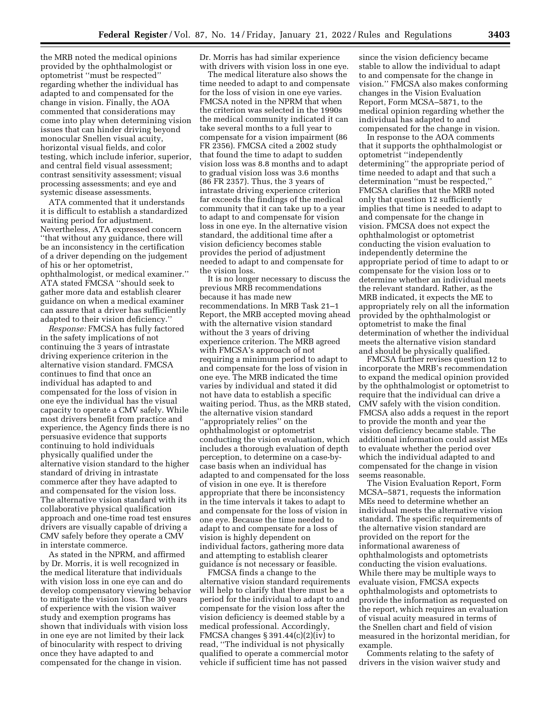the MRB noted the medical opinions provided by the ophthalmologist or optometrist ''must be respected'' regarding whether the individual has adapted to and compensated for the change in vision. Finally, the AOA commented that considerations may come into play when determining vision issues that can hinder driving beyond monocular Snellen visual acuity, horizontal visual fields, and color testing, which include inferior, superior, and central field visual assessment; contrast sensitivity assessment; visual processing assessments; and eye and systemic disease assessments.

ATA commented that it understands it is difficult to establish a standardized waiting period for adjustment. Nevertheless, ATA expressed concern ''that without any guidance, there will be an inconsistency in the certification of a driver depending on the judgement of his or her optometrist, ophthalmologist, or medical examiner.'' ATA stated FMCSA ''should seek to gather more data and establish clearer guidance on when a medical examiner can assure that a driver has sufficiently adapted to their vision deficiency.''

*Response:* FMCSA has fully factored in the safety implications of not continuing the 3 years of intrastate driving experience criterion in the alternative vision standard. FMCSA continues to find that once an individual has adapted to and compensated for the loss of vision in one eye the individual has the visual capacity to operate a CMV safely. While most drivers benefit from practice and experience, the Agency finds there is no persuasive evidence that supports continuing to hold individuals physically qualified under the alternative vision standard to the higher standard of driving in intrastate commerce after they have adapted to and compensated for the vision loss. The alternative vision standard with its collaborative physical qualification approach and one-time road test ensures drivers are visually capable of driving a CMV safely before they operate a CMV in interstate commerce.

As stated in the NPRM, and affirmed by Dr. Morris, it is well recognized in the medical literature that individuals with vision loss in one eye can and do develop compensatory viewing behavior to mitigate the vision loss. The 30 years of experience with the vision waiver study and exemption programs has shown that individuals with vision loss in one eye are not limited by their lack of binocularity with respect to driving once they have adapted to and compensated for the change in vision.

Dr. Morris has had similar experience with drivers with vision loss in one eye.

The medical literature also shows the time needed to adapt to and compensate for the loss of vision in one eye varies. FMCSA noted in the NPRM that when the criterion was selected in the 1990s the medical community indicated it can take several months to a full year to compensate for a vision impairment (86 FR 2356). FMCSA cited a 2002 study that found the time to adapt to sudden vision loss was 8.8 months and to adapt to gradual vision loss was 3.6 months (86 FR 2357). Thus, the 3 years of intrastate driving experience criterion far exceeds the findings of the medical community that it can take up to a year to adapt to and compensate for vision loss in one eye. In the alternative vision standard, the additional time after a vision deficiency becomes stable provides the period of adjustment needed to adapt to and compensate for the vision loss.

It is no longer necessary to discuss the previous MRB recommendations because it has made new recommendations. In MRB Task 21–1 Report, the MRB accepted moving ahead with the alternative vision standard without the 3 years of driving experience criterion. The MRB agreed with FMCSA's approach of not requiring a minimum period to adapt to and compensate for the loss of vision in one eye. The MRB indicated the time varies by individual and stated it did not have data to establish a specific waiting period. Thus, as the MRB stated, the alternative vision standard ''appropriately relies'' on the ophthalmologist or optometrist conducting the vision evaluation, which includes a thorough evaluation of depth perception, to determine on a case-bycase basis when an individual has adapted to and compensated for the loss of vision in one eye. It is therefore appropriate that there be inconsistency in the time intervals it takes to adapt to and compensate for the loss of vision in one eye. Because the time needed to adapt to and compensate for a loss of vision is highly dependent on individual factors, gathering more data and attempting to establish clearer guidance is not necessary or feasible.

FMCSA finds a change to the alternative vision standard requirements will help to clarify that there must be a period for the individual to adapt to and compensate for the vision loss after the vision deficiency is deemed stable by a medical professional. Accordingly, FMCSA changes  $\S 391.44(c)(2)(iv)$  to read, ''The individual is not physically qualified to operate a commercial motor vehicle if sufficient time has not passed

since the vision deficiency became stable to allow the individual to adapt to and compensate for the change in vision.'' FMCSA also makes conforming changes in the Vision Evaluation Report, Form MCSA–5871, to the medical opinion regarding whether the individual has adapted to and compensated for the change in vision.

In response to the AOA comments that it supports the ophthalmologist or optometrist ''independently determining'' the appropriate period of time needed to adapt and that such a determination ''must be respected,'' FMCSA clarifies that the MRB noted only that question 12 sufficiently implies that time is needed to adapt to and compensate for the change in vision. FMCSA does not expect the ophthalmologist or optometrist conducting the vision evaluation to independently determine the appropriate period of time to adapt to or compensate for the vision loss or to determine whether an individual meets the relevant standard. Rather, as the MRB indicated, it expects the ME to appropriately rely on all the information provided by the ophthalmologist or optometrist to make the final determination of whether the individual meets the alternative vision standard and should be physically qualified.

FMCSA further revises question 12 to incorporate the MRB's recommendation to expand the medical opinion provided by the ophthalmologist or optometrist to require that the individual can drive a CMV safely with the vision condition. FMCSA also adds a request in the report to provide the month and year the vision deficiency became stable. The additional information could assist MEs to evaluate whether the period over which the individual adapted to and compensated for the change in vision seems reasonable.

The Vision Evaluation Report, Form MCSA–5871, requests the information MEs need to determine whether an individual meets the alternative vision standard. The specific requirements of the alternative vision standard are provided on the report for the informational awareness of ophthalmologists and optometrists conducting the vision evaluations. While there may be multiple ways to evaluate vision, FMCSA expects ophthalmologists and optometrists to provide the information as requested on the report, which requires an evaluation of visual acuity measured in terms of the Snellen chart and field of vision measured in the horizontal meridian, for example.

Comments relating to the safety of drivers in the vision waiver study and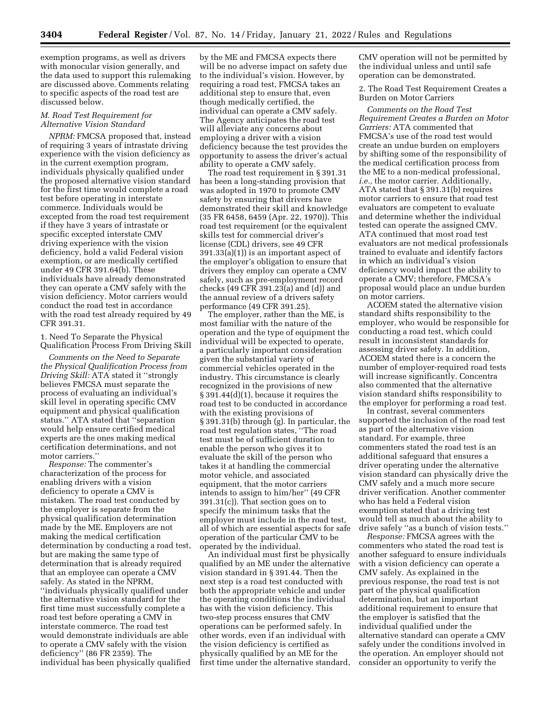exemption programs, as well as drivers with monocular vision generally, and the data used to support this rulemaking are discussed above. Comments relating to specific aspects of the road test are discussed below.

### *M. Road Test Requirement for Alternative Vision Standard*

*NPRM:* FMCSA proposed that, instead of requiring 3 years of intrastate driving experience with the vision deficiency as in the current exemption program, individuals physically qualified under the proposed alternative vision standard for the first time would complete a road test before operating in interstate commerce. Individuals would be excepted from the road test requirement if they have 3 years of intrastate or specific excepted interstate CMV driving experience with the vision deficiency, hold a valid Federal vision exemption, or are medically certified under 49 CFR 391.64(b). These individuals have already demonstrated they can operate a CMV safely with the vision deficiency. Motor carriers would conduct the road test in accordance with the road test already required by 49 CFR 391.31.

1. Need To Separate the Physical Qualification Process From Driving Skill

*Comments on the Need to Separate the Physical Qualification Process from Driving Skill:* ATA stated it ''strongly believes FMCSA must separate the process of evaluating an individual's skill level in operating specific CMV equipment and physical qualification status.'' ATA stated that ''separation would help ensure certified medical experts are the ones making medical certification determinations, and not motor carriers.''

*Response:* The commenter's characterization of the process for enabling drivers with a vision deficiency to operate a CMV is mistaken. The road test conducted by the employer is separate from the physical qualification determination made by the ME. Employers are not making the medical certification determination by conducting a road test, but are making the same type of determination that is already required that an employee can operate a CMV safely. As stated in the NPRM, ''individuals physically qualified under the alternative vision standard for the first time must successfully complete a road test before operating a CMV in interstate commerce. The road test would demonstrate individuals are able to operate a CMV safely with the vision deficiency'' (86 FR 2359). The individual has been physically qualified

by the ME and FMCSA expects there will be no adverse impact on safety due to the individual's vision. However, by requiring a road test, FMCSA takes an additional step to ensure that, even though medically certified, the individual can operate a CMV safely. The Agency anticipates the road test will alleviate any concerns about employing a driver with a vision deficiency because the test provides the opportunity to assess the driver's actual ability to operate a CMV safely.

The road test requirement in § 391.31 has been a long-standing provision that was adopted in 1970 to promote CMV safety by ensuring that drivers have demonstrated their skill and knowledge (35 FR 6458, 6459 (Apr. 22, 1970)). This road test requirement (or the equivalent skills test for commercial driver's license (CDL) drivers, see 49 CFR 391.33(a)(1)) is an important aspect of the employer's obligation to ensure that drivers they employ can operate a CMV safely, such as pre-employment record checks (49 CFR 391.23(a) and (d)) and the annual review of a drivers safety performance (49 CFR 391.25).

The employer, rather than the ME, is most familiar with the nature of the operation and the type of equipment the individual will be expected to operate, a particularly important consideration given the substantial variety of commercial vehicles operated in the industry. This circumstance is clearly recognized in the provisions of new § 391.44(d)(1), because it requires the road test to be conducted in accordance with the existing provisions of § 391.31(b) through (g). In particular, the road test regulation states, ''The road test must be of sufficient duration to enable the person who gives it to evaluate the skill of the person who takes it at handling the commercial motor vehicle, and associated equipment, that the motor carriers intends to assign to him/her'' (49 CFR 391.31(c)). That section goes on to specify the minimum tasks that the employer must include in the road test, all of which are essential aspects for safe operation of the particular CMV to be operated by the individual.

An individual must first be physically qualified by an ME under the alternative vision standard in § 391.44. Then the next step is a road test conducted with both the appropriate vehicle and under the operating conditions the individual has with the vision deficiency. This two-step process ensures that CMV operations can be performed safely. In other words, even if an individual with the vision deficiency is certified as physically qualified by an ME for the first time under the alternative standard,

CMV operation will not be permitted by the individual unless and until safe operation can be demonstrated.

2. The Road Test Requirement Creates a Burden on Motor Carriers

*Comments on the Road Test Requirement Creates a Burden on Motor Carriers:* ATA commented that FMCSA's use of the road test would create an undue burden on employers by shifting some of the responsibility of the medical certification process from the ME to a non-medical professional, *i.e.,* the motor carrier. Additionally, ATA stated that § 391.31(b) requires motor carriers to ensure that road test evaluators are competent to evaluate and determine whether the individual tested can operate the assigned CMV. ATA continued that most road test evaluators are not medical professionals trained to evaluate and identify factors in which an individual's vision deficiency would impact the ability to operate a CMV; therefore, FMCSA's proposal would place an undue burden on motor carriers.

ACOEM stated the alternative vision standard shifts responsibility to the employer, who would be responsible for conducting a road test, which could result in inconsistent standards for assessing driver safety. In addition, ACOEM stated there is a concern the number of employer-required road tests will increase significantly. Concentra also commented that the alternative vision standard shifts responsibility to the employer for performing a road test.

In contrast, several commenters supported the inclusion of the road test as part of the alternative vision standard. For example, three commenters stated the road test is an additional safeguard that ensures a driver operating under the alternative vision standard can physically drive the CMV safely and a much more secure driver verification. Another commenter who has held a Federal vision exemption stated that a driving test would tell as much about the ability to drive safely ''as a bunch of vision tests.''

*Response:* FMCSA agrees with the commenters who stated the road test is another safeguard to ensure individuals with a vision deficiency can operate a CMV safely. As explained in the previous response, the road test is not part of the physical qualification determination, but an important additional requirement to ensure that the employer is satisfied that the individual qualified under the alternative standard can operate a CMV safely under the conditions involved in the operation. An employer should not consider an opportunity to verify the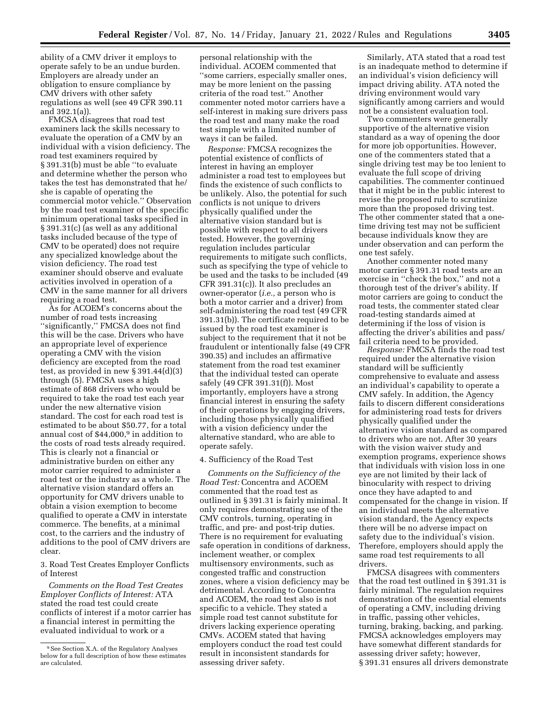ability of a CMV driver it employs to operate safely to be an undue burden. Employers are already under an obligation to ensure compliance by CMV drivers with other safety regulations as well (see 49 CFR 390.11 and 392.1(a)).

FMCSA disagrees that road test examiners lack the skills necessary to evaluate the operation of a CMV by an individual with a vision deficiency. The road test examiners required by § 391.31(b) must be able ''to evaluate and determine whether the person who takes the test has demonstrated that he/ she is capable of operating the commercial motor vehicle.'' Observation by the road test examiner of the specific minimum operational tasks specified in § 391.31(c) (as well as any additional tasks included because of the type of CMV to be operated) does not require any specialized knowledge about the vision deficiency. The road test examiner should observe and evaluate activities involved in operation of a CMV in the same manner for all drivers requiring a road test.

As for ACOEM's concerns about the number of road tests increasing ''significantly,'' FMCSA does not find this will be the case. Drivers who have an appropriate level of experience operating a CMV with the vision deficiency are excepted from the road test, as provided in new § 391.44(d)(3) through (5). FMCSA uses a high estimate of 868 drivers who would be required to take the road test each year under the new alternative vision standard. The cost for each road test is estimated to be about \$50.77, for a total annual cost of \$44,000,9 in addition to the costs of road tests already required. This is clearly not a financial or administrative burden on either any motor carrier required to administer a road test or the industry as a whole. The alternative vision standard offers an opportunity for CMV drivers unable to obtain a vision exemption to become qualified to operate a CMV in interstate commerce. The benefits, at a minimal cost, to the carriers and the industry of additions to the pool of CMV drivers are clear.

3. Road Test Creates Employer Conflicts of Interest

*Comments on the Road Test Creates Employer Conflicts of Interest:* ATA stated the road test could create conflicts of interest if a motor carrier has a financial interest in permitting the evaluated individual to work or a

personal relationship with the individual. ACOEM commented that ''some carriers, especially smaller ones, may be more lenient on the passing criteria of the road test.'' Another commenter noted motor carriers have a self-interest in making sure drivers pass the road test and many make the road test simple with a limited number of ways it can be failed.

*Response:* FMCSA recognizes the potential existence of conflicts of interest in having an employer administer a road test to employees but finds the existence of such conflicts to be unlikely. Also, the potential for such conflicts is not unique to drivers physically qualified under the alternative vision standard but is possible with respect to all drivers tested. However, the governing regulation includes particular requirements to mitigate such conflicts, such as specifying the type of vehicle to be used and the tasks to be included (49 CFR 391.31(c)). It also precludes an owner-operator (*i.e.,* a person who is both a motor carrier and a driver) from self-administering the road test (49 CFR 391.31(b)). The certificate required to be issued by the road test examiner is subject to the requirement that it not be fraudulent or intentionally false (49 CFR 390.35) and includes an affirmative statement from the road test examiner that the individual tested can operate safely (49 CFR 391.31(f)). Most importantly, employers have a strong financial interest in ensuring the safety of their operations by engaging drivers, including those physically qualified with a vision deficiency under the alternative standard, who are able to operate safely.

### 4. Sufficiency of the Road Test

*Comments on the Sufficiency of the Road Test:* Concentra and ACOEM commented that the road test as outlined in § 391.31 is fairly minimal. It only requires demonstrating use of the CMV controls, turning, operating in traffic, and pre- and post-trip duties. There is no requirement for evaluating safe operation in conditions of darkness, inclement weather, or complex multisensory environments, such as congested traffic and construction zones, where a vision deficiency may be detrimental. According to Concentra and ACOEM, the road test also is not specific to a vehicle. They stated a simple road test cannot substitute for drivers lacking experience operating CMVs. ACOEM stated that having employers conduct the road test could result in inconsistent standards for assessing driver safety.

Similarly, ATA stated that a road test is an inadequate method to determine if an individual's vision deficiency will impact driving ability. ATA noted the driving environment would vary significantly among carriers and would not be a consistent evaluation tool.

Two commenters were generally supportive of the alternative vision standard as a way of opening the door for more job opportunities. However, one of the commenters stated that a single driving test may be too lenient to evaluate the full scope of driving capabilities. The commenter continued that it might be in the public interest to revise the proposed rule to scrutinize more than the proposed driving test. The other commenter stated that a onetime driving test may not be sufficient because individuals know they are under observation and can perform the one test safely.

Another commenter noted many motor carrier § 391.31 road tests are an exercise in ''check the box,'' and not a thorough test of the driver's ability. If motor carriers are going to conduct the road tests, the commenter stated clear road-testing standards aimed at determining if the loss of vision is affecting the driver's abilities and pass/ fail criteria need to be provided.

*Response:* FMCSA finds the road test required under the alternative vision standard will be sufficiently comprehensive to evaluate and assess an individual's capability to operate a CMV safely. In addition, the Agency fails to discern different considerations for administering road tests for drivers physically qualified under the alternative vision standard as compared to drivers who are not. After 30 years with the vision waiver study and exemption programs, experience shows that individuals with vision loss in one eye are not limited by their lack of binocularity with respect to driving once they have adapted to and compensated for the change in vision. If an individual meets the alternative vision standard, the Agency expects there will be no adverse impact on safety due to the individual's vision. Therefore, employers should apply the same road test requirements to all drivers.

FMCSA disagrees with commenters that the road test outlined in § 391.31 is fairly minimal. The regulation requires demonstration of the essential elements of operating a CMV, including driving in traffic, passing other vehicles, turning, braking, backing, and parking. FMCSA acknowledges employers may have somewhat different standards for assessing driver safety; however, § 391.31 ensures all drivers demonstrate

<sup>9</sup>See Section X.A. of the Regulatory Analyses below for a full description of how these estimates are calculated.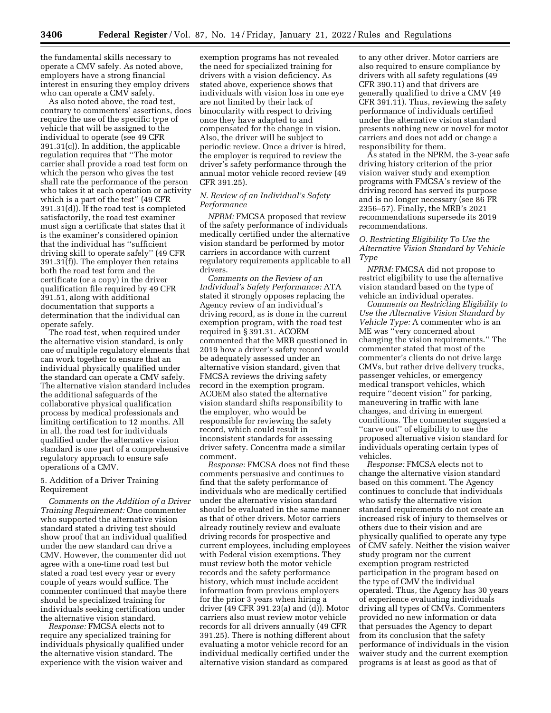the fundamental skills necessary to operate a CMV safely. As noted above, employers have a strong financial interest in ensuring they employ drivers who can operate a CMV safely.

As also noted above, the road test, contrary to commenters' assertions, does require the use of the specific type of vehicle that will be assigned to the individual to operate (see 49 CFR 391.31(c)). In addition, the applicable regulation requires that ''The motor carrier shall provide a road test form on which the person who gives the test shall rate the performance of the person who takes it at each operation or activity which is a part of the test'' (49 CFR 391.31(d)). If the road test is completed satisfactorily, the road test examiner must sign a certificate that states that it is the examiner's considered opinion that the individual has ''sufficient driving skill to operate safely'' (49 CFR 391.31(f)). The employer then retains both the road test form and the certificate (or a copy) in the driver qualification file required by 49 CFR 391.51, along with additional documentation that supports a determination that the individual can operate safely.

The road test, when required under the alternative vision standard, is only one of multiple regulatory elements that can work together to ensure that an individual physically qualified under the standard can operate a CMV safely. The alternative vision standard includes the additional safeguards of the collaborative physical qualification process by medical professionals and limiting certification to 12 months. All in all, the road test for individuals qualified under the alternative vision standard is one part of a comprehensive regulatory approach to ensure safe operations of a CMV.

### 5. Addition of a Driver Training Requirement

*Comments on the Addition of a Driver Training Requirement:* One commenter who supported the alternative vision standard stated a driving test should show proof that an individual qualified under the new standard can drive a CMV. However, the commenter did not agree with a one-time road test but stated a road test every year or every couple of years would suffice. The commenter continued that maybe there should be specialized training for individuals seeking certification under the alternative vision standard.

*Response:* FMCSA elects not to require any specialized training for individuals physically qualified under the alternative vision standard. The experience with the vision waiver and

exemption programs has not revealed the need for specialized training for drivers with a vision deficiency. As stated above, experience shows that individuals with vision loss in one eye are not limited by their lack of binocularity with respect to driving once they have adapted to and compensated for the change in vision. Also, the driver will be subject to periodic review. Once a driver is hired, the employer is required to review the driver's safety performance through the annual motor vehicle record review (49 CFR 391.25).

# *N. Review of an Individual's Safety Performance*

*NPRM:* FMCSA proposed that review of the safety performance of individuals medically certified under the alternative vision standard be performed by motor carriers in accordance with current regulatory requirements applicable to all drivers.

*Comments on the Review of an Individual's Safety Performance:* ATA stated it strongly opposes replacing the Agency review of an individual's driving record, as is done in the current exemption program, with the road test required in § 391.31. ACOEM commented that the MRB questioned in 2019 how a driver's safety record would be adequately assessed under an alternative vision standard, given that FMCSA reviews the driving safety record in the exemption program. ACOEM also stated the alternative vision standard shifts responsibility to the employer, who would be responsible for reviewing the safety record, which could result in inconsistent standards for assessing driver safety. Concentra made a similar comment.

*Response:* FMCSA does not find these comments persuasive and continues to find that the safety performance of individuals who are medically certified under the alternative vision standard should be evaluated in the same manner as that of other drivers. Motor carriers already routinely review and evaluate driving records for prospective and current employees, including employees with Federal vision exemptions. They must review both the motor vehicle records and the safety performance history, which must include accident information from previous employers for the prior 3 years when hiring a driver (49 CFR 391.23(a) and (d)). Motor carriers also must review motor vehicle records for all drivers annually (49 CFR 391.25). There is nothing different about evaluating a motor vehicle record for an individual medically certified under the alternative vision standard as compared

to any other driver. Motor carriers are also required to ensure compliance by drivers with all safety regulations (49 CFR 390.11) and that drivers are generally qualified to drive a CMV (49 CFR 391.11). Thus, reviewing the safety performance of individuals certified under the alternative vision standard presents nothing new or novel for motor carriers and does not add or change a responsibility for them.

As stated in the NPRM, the 3-year safe driving history criterion of the prior vision waiver study and exemption programs with FMCSA's review of the driving record has served its purpose and is no longer necessary (see 86 FR 2356–57). Finally, the MRB's 2021 recommendations supersede its 2019 recommendations.

### *O. Restricting Eligibility To Use the Alternative Vision Standard by Vehicle Type*

*NPRM:* FMCSA did not propose to restrict eligibility to use the alternative vision standard based on the type of vehicle an individual operates.

*Comments on Restricting Eligibility to Use the Alternative Vision Standard by Vehicle Type:* A commenter who is an ME was ''very concerned about changing the vision requirements.'' The commenter stated that most of the commenter's clients do not drive large CMVs, but rather drive delivery trucks, passenger vehicles, or emergency medical transport vehicles, which require ''decent vision'' for parking, maneuvering in traffic with lane changes, and driving in emergent conditions. The commenter suggested a ''carve out'' of eligibility to use the proposed alternative vision standard for individuals operating certain types of vehicles.

*Response:* FMCSA elects not to change the alternative vision standard based on this comment. The Agency continues to conclude that individuals who satisfy the alternative vision standard requirements do not create an increased risk of injury to themselves or others due to their vision and are physically qualified to operate any type of CMV safely. Neither the vision waiver study program nor the current exemption program restricted participation in the program based on the type of CMV the individual operated. Thus, the Agency has 30 years of experience evaluating individuals driving all types of CMVs. Commenters provided no new information or data that persuades the Agency to depart from its conclusion that the safety performance of individuals in the vision waiver study and the current exemption programs is at least as good as that of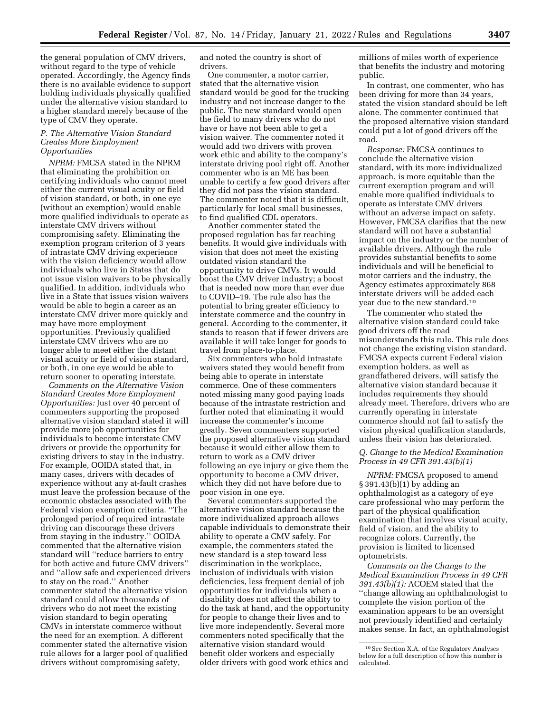the general population of CMV drivers, without regard to the type of vehicle operated. Accordingly, the Agency finds there is no available evidence to support holding individuals physically qualified under the alternative vision standard to a higher standard merely because of the type of CMV they operate.

### *P. The Alternative Vision Standard Creates More Employment Opportunities*

*NPRM:* FMCSA stated in the NPRM that eliminating the prohibition on certifying individuals who cannot meet either the current visual acuity or field of vision standard, or both, in one eye (without an exemption) would enable more qualified individuals to operate as interstate CMV drivers without compromising safety. Eliminating the exemption program criterion of 3 years of intrastate CMV driving experience with the vision deficiency would allow individuals who live in States that do not issue vision waivers to be physically qualified. In addition, individuals who live in a State that issues vision waivers would be able to begin a career as an interstate CMV driver more quickly and may have more employment opportunities. Previously qualified interstate CMV drivers who are no longer able to meet either the distant visual acuity or field of vision standard, or both, in one eye would be able to return sooner to operating interstate.

*Comments on the Alternative Vision Standard Creates More Employment Opportunities:* Just over 40 percent of commenters supporting the proposed alternative vision standard stated it will provide more job opportunities for individuals to become interstate CMV drivers or provide the opportunity for existing drivers to stay in the industry. For example, OOIDA stated that, in many cases, drivers with decades of experience without any at-fault crashes must leave the profession because of the economic obstacles associated with the Federal vision exemption criteria. ''The prolonged period of required intrastate driving can discourage these drivers from staying in the industry.'' OOIDA commented that the alternative vision standard will ''reduce barriers to entry for both active and future CMV drivers'' and ''allow safe and experienced drivers to stay on the road.'' Another commenter stated the alternative vision standard could allow thousands of drivers who do not meet the existing vision standard to begin operating CMVs in interstate commerce without the need for an exemption. A different commenter stated the alternative vision rule allows for a larger pool of qualified drivers without compromising safety,

and noted the country is short of drivers.

One commenter, a motor carrier, stated that the alternative vision standard would be good for the trucking industry and not increase danger to the public. The new standard would open the field to many drivers who do not have or have not been able to get a vision waiver. The commenter noted it would add two drivers with proven work ethic and ability to the company's interstate driving pool right off. Another commenter who is an ME has been unable to certify a few good drivers after they did not pass the vision standard. The commenter noted that it is difficult, particularly for local small businesses, to find qualified CDL operators.

Another commenter stated the proposed regulation has far reaching benefits. It would give individuals with vision that does not meet the existing outdated vision standard the opportunity to drive CMVs. It would boost the CMV driver industry; a boost that is needed now more than ever due to COVID–19. The rule also has the potential to bring greater efficiency to interstate commerce and the country in general. According to the commenter, it stands to reason that if fewer drivers are available it will take longer for goods to travel from place-to-place.

Six commenters who hold intrastate waivers stated they would benefit from being able to operate in interstate commerce. One of these commenters noted missing many good paying loads because of the intrastate restriction and further noted that eliminating it would increase the commenter's income greatly. Seven commenters supported the proposed alternative vision standard because it would either allow them to return to work as a CMV driver following an eye injury or give them the opportunity to become a CMV driver, which they did not have before due to poor vision in one eye.

Several commenters supported the alternative vision standard because the more individualized approach allows capable individuals to demonstrate their ability to operate a CMV safely. For example, the commenters stated the new standard is a step toward less discrimination in the workplace, inclusion of individuals with vision deficiencies, less frequent denial of job opportunities for individuals when a disability does not affect the ability to do the task at hand, and the opportunity for people to change their lives and to live more independently. Several more commenters noted specifically that the alternative vision standard would benefit older workers and especially older drivers with good work ethics and

millions of miles worth of experience that benefits the industry and motoring public.

In contrast, one commenter, who has been driving for more than 34 years, stated the vision standard should be left alone. The commenter continued that the proposed alternative vision standard could put a lot of good drivers off the road.

*Response:* FMCSA continues to conclude the alternative vision standard, with its more individualized approach, is more equitable than the current exemption program and will enable more qualified individuals to operate as interstate CMV drivers without an adverse impact on safety. However, FMCSA clarifies that the new standard will not have a substantial impact on the industry or the number of available drivers. Although the rule provides substantial benefits to some individuals and will be beneficial to motor carriers and the industry, the Agency estimates approximately 868 interstate drivers will be added each year due to the new standard.10

The commenter who stated the alternative vision standard could take good drivers off the road misunderstands this rule. This rule does not change the existing vision standard. FMCSA expects current Federal vision exemption holders, as well as grandfathered drivers, will satisfy the alternative vision standard because it includes requirements they should already meet. Therefore, drivers who are currently operating in interstate commerce should not fail to satisfy the vision physical qualification standards, unless their vision has deteriorated.

# *Q. Change to the Medical Examination Process in 49 CFR 391.43(b)(1)*

*NPRM:* FMCSA proposed to amend § 391.43(b)(1) by adding an ophthalmologist as a category of eye care professional who may perform the part of the physical qualification examination that involves visual acuity, field of vision, and the ability to recognize colors. Currently, the provision is limited to licensed optometrists.

*Comments on the Change to the Medical Examination Process in 49 CFR 391.43(b)(1):* ACOEM stated that the ''change allowing an ophthalmologist to complete the vision portion of the examination appears to be an oversight not previously identified and certainly makes sense. In fact, an ophthalmologist

<sup>10</sup>See Section X.A. of the Regulatory Analyses below for a full description of how this number is calculated.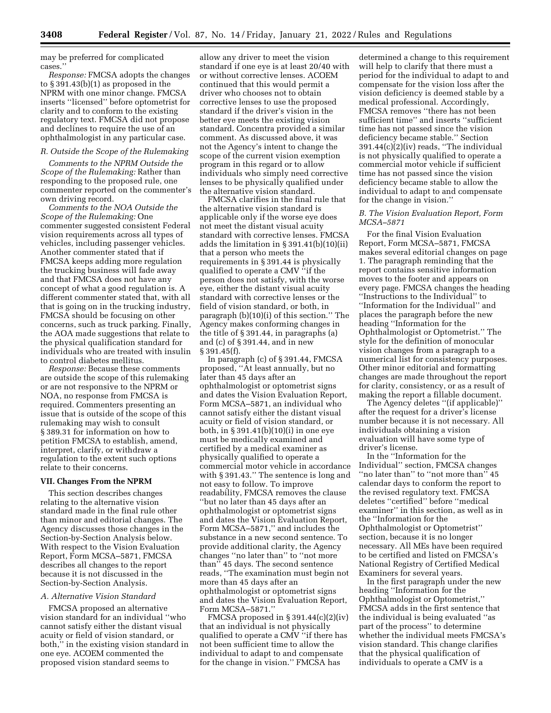may be preferred for complicated cases.''

*Response:* FMCSA adopts the changes to § 391.43(b)(1) as proposed in the NPRM with one minor change. FMCSA inserts ''licensed'' before optometrist for clarity and to conform to the existing regulatory text. FMCSA did not propose and declines to require the use of an ophthalmologist in any particular case.

#### *R. Outside the Scope of the Rulemaking*

*Comments to the NPRM Outside the Scope of the Rulemaking:* Rather than responding to the proposed rule, one commenter reported on the commenter's own driving record.

*Comments to the NOA Outside the Scope of the Rulemaking:* One commenter suggested consistent Federal vision requirements across all types of vehicles, including passenger vehicles. Another commenter stated that if FMCSA keeps adding more regulation the trucking business will fade away and that FMCSA does not have any concept of what a good regulation is. A different commenter stated that, with all that is going on in the trucking industry, FMCSA should be focusing on other concerns, such as truck parking. Finally, the AOA made suggestions that relate to the physical qualification standard for individuals who are treated with insulin to control diabetes mellitus.

*Response:* Because these comments are outside the scope of this rulemaking or are not responsive to the NPRM or NOA, no response from FMCSA is required. Commenters presenting an issue that is outside of the scope of this rulemaking may wish to consult § 389.31 for information on how to petition FMCSA to establish, amend, interpret, clarify, or withdraw a regulation to the extent such options relate to their concerns.

#### **VII. Changes From the NPRM**

This section describes changes relating to the alternative vision standard made in the final rule other than minor and editorial changes. The Agency discusses those changes in the Section-by-Section Analysis below. With respect to the Vision Evaluation Report, Form MCSA–5871, FMCSA describes all changes to the report because it is not discussed in the Section-by-Section Analysis.

### *A. Alternative Vision Standard*

FMCSA proposed an alternative vision standard for an individual ''who cannot satisfy either the distant visual acuity or field of vision standard, or both,'' in the existing vision standard in one eye. ACOEM commented the proposed vision standard seems to

allow any driver to meet the vision standard if one eye is at least 20/40 with or without corrective lenses. ACOEM continued that this would permit a driver who chooses not to obtain corrective lenses to use the proposed standard if the driver's vision in the better eye meets the existing vision standard. Concentra provided a similar comment. As discussed above, it was not the Agency's intent to change the scope of the current vision exemption program in this regard or to allow individuals who simply need corrective lenses to be physically qualified under the alternative vision standard.

FMCSA clarifies in the final rule that the alternative vision standard is applicable only if the worse eye does not meet the distant visual acuity standard with corrective lenses. FMCSA adds the limitation in § 391.41(b)(10)(ii) that a person who meets the requirements in § 391.44 is physically qualified to operate a CMV ''if the person does not satisfy, with the worse eye, either the distant visual acuity standard with corrective lenses or the field of vision standard, or both, in paragraph (b)(10)(i) of this section.'' The Agency makes conforming changes in the title of § 391.44, in paragraphs (a) and (c) of § 391.44, and in new § 391.45(f).

In paragraph (c) of § 391.44, FMCSA proposed, ''At least annually, but no later than 45 days after an ophthalmologist or optometrist signs and dates the Vision Evaluation Report, Form MCSA–5871, an individual who cannot satisfy either the distant visual acuity or field of vision standard, or both, in § 391.41(b)(10)(i) in one eye must be medically examined and certified by a medical examiner as physically qualified to operate a commercial motor vehicle in accordance with § 391.43.'' The sentence is long and not easy to follow. To improve readability, FMCSA removes the clause ''but no later than 45 days after an ophthalmologist or optometrist signs and dates the Vision Evaluation Report, Form MCSA–5871,'' and includes the substance in a new second sentence. To provide additional clarity, the Agency changes ''no later than'' to ''not more than'' 45 days. The second sentence reads, ''The examination must begin not more than 45 days after an ophthalmologist or optometrist signs and dates the Vision Evaluation Report, Form MCSA–5871.''

FMCSA proposed in § 391.44(c)(2)(iv) that an individual is not physically qualified to operate a CMV ''if there has not been sufficient time to allow the individual to adapt to and compensate for the change in vision.'' FMCSA has

determined a change to this requirement will help to clarify that there must a period for the individual to adapt to and compensate for the vision loss after the vision deficiency is deemed stable by a medical professional. Accordingly, FMCSA removes ''there has not been sufficient time'' and inserts ''sufficient time has not passed since the vision deficiency became stable.'' Section 391.44(c)(2)(iv) reads, ''The individual is not physically qualified to operate a commercial motor vehicle if sufficient time has not passed since the vision deficiency became stable to allow the individual to adapt to and compensate for the change in vision.''

#### *B. The Vision Evaluation Report, Form MCSA–5871*

For the final Vision Evaluation Report, Form MCSA–5871, FMCSA makes several editorial changes on page 1. The paragraph reminding that the report contains sensitive information moves to the footer and appears on every page. FMCSA changes the heading ''Instructions to the Individual'' to ''Information for the Individual'' and places the paragraph before the new heading ''Information for the Ophthalmologist or Optometrist.'' The style for the definition of monocular vision changes from a paragraph to a numerical list for consistency purposes. Other minor editorial and formatting changes are made throughout the report for clarity, consistency, or as a result of making the report a fillable document.

The Agency deletes ''(if applicable)'' after the request for a driver's license number because it is not necessary. All individuals obtaining a vision evaluation will have some type of driver's license.

In the ''Information for the Individual'' section, FMCSA changes "no later than" to "not more than" 45 calendar days to conform the report to the revised regulatory text. FMCSA deletes ''certified'' before ''medical examiner'' in this section, as well as in the ''Information for the Ophthalmologist or Optometrist'' section, because it is no longer necessary. All MEs have been required to be certified and listed on FMCSA's National Registry of Certified Medical Examiners for several years.

In the first paragraph under the new heading ''Information for the Ophthalmologist or Optometrist,'' FMCSA adds in the first sentence that the individual is being evaluated ''as part of the process'' to determine whether the individual meets FMCSA's vision standard. This change clarifies that the physical qualification of individuals to operate a CMV is a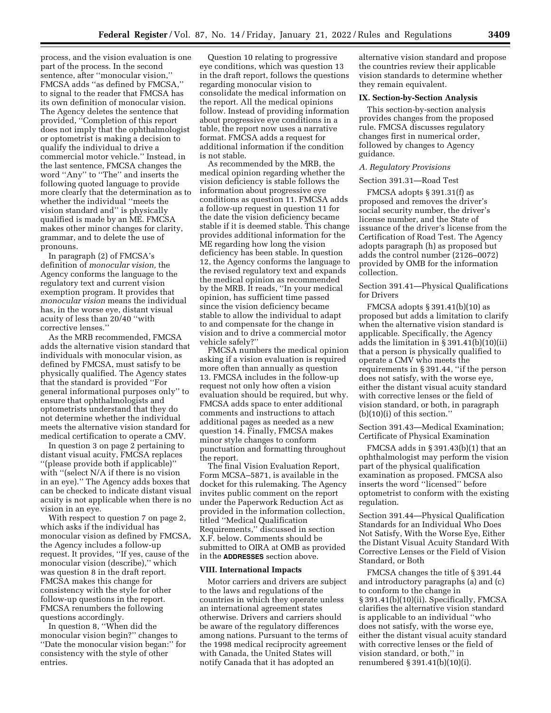process, and the vision evaluation is one part of the process. In the second sentence, after ''monocular vision,'' FMCSA adds ''as defined by FMCSA,'' to signal to the reader that FMCSA has its own definition of monocular vision. The Agency deletes the sentence that provided, ''Completion of this report does not imply that the ophthalmologist or optometrist is making a decision to qualify the individual to drive a commercial motor vehicle.'' Instead, in the last sentence, FMCSA changes the word ''Any'' to ''The'' and inserts the following quoted language to provide more clearly that the determination as to whether the individual ''meets the vision standard and'' is physically qualified is made by an ME. FMCSA makes other minor changes for clarity, grammar, and to delete the use of pronouns.

In paragraph (2) of FMCSA's definition of *monocular vision,* the Agency conforms the language to the regulatory text and current vision exemption program. It provides that *monocular vision* means the individual has, in the worse eye, distant visual acuity of less than 20/40 ''with corrective lenses.''

As the MRB recommended, FMCSA adds the alternative vision standard that individuals with monocular vision, as defined by FMCSA, must satisfy to be physically qualified. The Agency states that the standard is provided ''For general informational purposes only'' to ensure that ophthalmologists and optometrists understand that they do not determine whether the individual meets the alternative vision standard for medical certification to operate a CMV.

In question 3 on page 2 pertaining to distant visual acuity, FMCSA replaces ''(please provide both if applicable)'' with "(select N/A if there is no vision in an eye).'' The Agency adds boxes that can be checked to indicate distant visual acuity is not applicable when there is no vision in an eye.

With respect to question 7 on page 2, which asks if the individual has monocular vision as defined by FMCSA, the Agency includes a follow-up request. It provides, ''If yes, cause of the monocular vision (describe),'' which was question 8 in the draft report. FMCSA makes this change for consistency with the style for other follow-up questions in the report. FMCSA renumbers the following questions accordingly.

In question 8, ''When did the monocular vision begin?'' changes to ''Date the monocular vision began:'' for consistency with the style of other entries.

Question 10 relating to progressive eye conditions, which was question 13 in the draft report, follows the questions regarding monocular vision to consolidate the medical information on the report. All the medical opinions follow. Instead of providing information about progressive eye conditions in a table, the report now uses a narrative format. FMCSA adds a request for additional information if the condition is not stable.

As recommended by the MRB, the medical opinion regarding whether the vision deficiency is stable follows the information about progressive eye conditions as question 11. FMCSA adds a follow-up request in question 11 for the date the vision deficiency became stable if it is deemed stable. This change provides additional information for the ME regarding how long the vision deficiency has been stable. In question 12, the Agency conforms the language to the revised regulatory text and expands the medical opinion as recommended by the MRB. It reads, ''In your medical opinion, has sufficient time passed since the vision deficiency became stable to allow the individual to adapt to and compensate for the change in vision and to drive a commercial motor vehicle safely?''

FMCSA numbers the medical opinion asking if a vision evaluation is required more often than annually as question 13. FMCSA includes in the follow-up request not only how often a vision evaluation should be required, but why. FMCSA adds space to enter additional comments and instructions to attach additional pages as needed as a new question 14. Finally, FMCSA makes minor style changes to conform punctuation and formatting throughout the report.

The final Vision Evaluation Report, Form MCSA–5871, is available in the docket for this rulemaking. The Agency invites public comment on the report under the Paperwork Reduction Act as provided in the information collection, titled ''Medical Qualification Requirements,'' discussed in section X.F. below. Comments should be submitted to OIRA at OMB as provided in the **ADDRESSES** section above.

### **VIII. International Impacts**

Motor carriers and drivers are subject to the laws and regulations of the countries in which they operate unless an international agreement states otherwise. Drivers and carriers should be aware of the regulatory differences among nations. Pursuant to the terms of the 1998 medical reciprocity agreement with Canada, the United States will notify Canada that it has adopted an

alternative vision standard and propose the countries review their applicable vision standards to determine whether they remain equivalent.

### **IX. Section-by-Section Analysis**

This section-by-section analysis provides changes from the proposed rule. FMCSA discusses regulatory changes first in numerical order, followed by changes to Agency guidance.

#### *A. Regulatory Provisions*

# Section 391.31—Road Test

FMCSA adopts § 391.31(f) as proposed and removes the driver's social security number, the driver's license number, and the State of issuance of the driver's license from the Certification of Road Test. The Agency adopts paragraph (h) as proposed but adds the control number (2126–0072) provided by OMB for the information collection.

Section 391.41—Physical Qualifications for Drivers

FMCSA adopts § 391.41(b)(10) as proposed but adds a limitation to clarify when the alternative vision standard is applicable. Specifically, the Agency adds the limitation in § 391.41(b)(10)(ii) that a person is physically qualified to operate a CMV who meets the requirements in § 391.44, ''if the person does not satisfy, with the worse eye, either the distant visual acuity standard with corrective lenses or the field of vision standard, or both, in paragraph (b)(10)(i) of this section.''

Section 391.43—Medical Examination; Certificate of Physical Examination

FMCSA adds in § 391.43(b)(1) that an ophthalmologist may perform the vision part of the physical qualification examination as proposed. FMCSA also inserts the word ''licensed'' before optometrist to conform with the existing regulation.

Section 391.44—Physical Qualification Standards for an Individual Who Does Not Satisfy, With the Worse Eye, Either the Distant Visual Acuity Standard With Corrective Lenses or the Field of Vision Standard, or Both

FMCSA changes the title of § 391.44 and introductory paragraphs (a) and (c) to conform to the change in § 391.41(b)(10)(ii). Specifically, FMCSA clarifies the alternative vision standard is applicable to an individual ''who does not satisfy, with the worse eye, either the distant visual acuity standard with corrective lenses or the field of vision standard, or both,'' in renumbered § 391.41(b)(10)(i).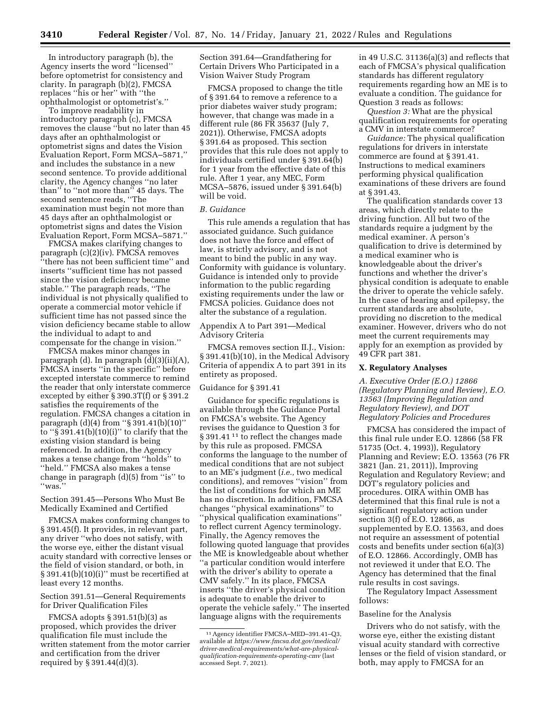In introductory paragraph (b), the Agency inserts the word ''licensed'' before optometrist for consistency and clarity. In paragraph (b)(2), FMCSA replaces ''his or her'' with ''the ophthalmologist or optometrist's.''

To improve readability in introductory paragraph (c), FMCSA removes the clause ''but no later than 45 days after an ophthalmologist or optometrist signs and dates the Vision Evaluation Report, Form MCSA–5871,'' and includes the substance in a new second sentence. To provide additional clarity, the Agency changes ''no later than'' to ''not more than'' 45 days. The second sentence reads, ''The examination must begin not more than 45 days after an ophthalmologist or optometrist signs and dates the Vision Evaluation Report, Form MCSA–5871.''

FMCSA makes clarifying changes to paragraph (c)(2)(iv). FMCSA removes ''there has not been sufficient time'' and inserts ''sufficient time has not passed since the vision deficiency became stable.'' The paragraph reads, ''The individual is not physically qualified to operate a commercial motor vehicle if sufficient time has not passed since the vision deficiency became stable to allow the individual to adapt to and compensate for the change in vision.''

FMCSA makes minor changes in

paragraph (d). In paragraph (d)(3)(ii)(A), FMCSA inserts ''in the specific'' before excepted interstate commerce to remind the reader that only interstate commerce excepted by either § 390.3T(f) or § 391.2 satisfies the requirements of the regulation. FMCSA changes a citation in paragraph (d)(4) from ''§ 391.41(b)(10)'' to " $\S$  391.41(b)(10)(i)" to clarify that the existing vision standard is being referenced. In addition, the Agency makes a tense change from ''holds'' to ''held.'' FMCSA also makes a tense change in paragraph (d)(5) from ''is'' to ''was.''

Section 391.45—Persons Who Must Be Medically Examined and Certified

FMCSA makes conforming changes to § 391.45(f). It provides, in relevant part, any driver ''who does not satisfy, with the worse eye, either the distant visual acuity standard with corrective lenses or the field of vision standard, or both, in § 391.41(b)(10)(i)'' must be recertified at least every 12 months.

# Section 391.51—General Requirements for Driver Qualification Files

FMCSA adopts § 391.51(b)(3) as proposed, which provides the driver qualification file must include the written statement from the motor carrier and certification from the driver required by § 391.44(d)(3).

Section 391.64—Grandfathering for Certain Drivers Who Participated in a Vision Waiver Study Program

FMCSA proposed to change the title of § 391.64 to remove a reference to a prior diabetes waiver study program; however, that change was made in a different rule (86 FR 35637 (July 7, 2021)). Otherwise, FMCSA adopts § 391.64 as proposed. This section provides that this rule does not apply to individuals certified under § 391.64(b) for 1 year from the effective date of this rule. After 1 year, any MEC, Form MCSA–5876, issued under § 391.64(b) will be void.

#### *B. Guidance*

This rule amends a regulation that has associated guidance. Such guidance does not have the force and effect of law, is strictly advisory, and is not meant to bind the public in any way. Conformity with guidance is voluntary. Guidance is intended only to provide information to the public regarding existing requirements under the law or FMCSA policies. Guidance does not alter the substance of a regulation.

# Appendix A to Part 391—Medical Advisory Criteria

FMCSA removes section II.J., Vision: § 391.41(b)(10), in the Medical Advisory Criteria of appendix A to part 391 in its entirety as proposed.

#### Guidance for § 391.41

Guidance for specific regulations is available through the Guidance Portal on FMCSA's website. The Agency revises the guidance to Question 3 for § 391.41<sup>11</sup> to reflect the changes made by this rule as proposed. FMCSA conforms the language to the number of medical conditions that are not subject to an ME's judgment (*i.e.,* two medical conditions), and removes ''vision'' from the list of conditions for which an ME has no discretion. In addition, FMCSA changes ''physical examinations'' to ''physical qualification examinations'' to reflect current Agency terminology. Finally, the Agency removes the following quoted language that provides the ME is knowledgeable about whether ''a particular condition would interfere with the driver's ability to operate a CMV safely.'' In its place, FMCSA inserts ''the driver's physical condition is adequate to enable the driver to operate the vehicle safely.'' The inserted language aligns with the requirements

in 49 U.S.C. 31136(a)(3) and reflects that each of FMCSA's physical qualification standards has different regulatory requirements regarding how an ME is to evaluate a condition. The guidance for Question 3 reads as follows:

*Question 3:* What are the physical qualification requirements for operating a CMV in interstate commerce?

*Guidance:* The physical qualification regulations for drivers in interstate commerce are found at § 391.41. Instructions to medical examiners performing physical qualification examinations of these drivers are found at § 391.43.

The qualification standards cover 13 areas, which directly relate to the driving function. All but two of the standards require a judgment by the medical examiner. A person's qualification to drive is determined by a medical examiner who is knowledgeable about the driver's functions and whether the driver's physical condition is adequate to enable the driver to operate the vehicle safely. In the case of hearing and epilepsy, the current standards are absolute, providing no discretion to the medical examiner. However, drivers who do not meet the current requirements may apply for an exemption as provided by 49 CFR part 381.

#### **X. Regulatory Analyses**

*A. Executive Order (E.O.) 12866 (Regulatory Planning and Review), E.O. 13563 (Improving Regulation and Regulatory Review), and DOT Regulatory Policies and Procedures* 

FMCSA has considered the impact of this final rule under E.O. 12866 (58 FR 51735 (Oct. 4, 1993)), Regulatory Planning and Review; E.O. 13563 (76 FR 3821 (Jan. 21, 2011)), Improving Regulation and Regulatory Review; and DOT's regulatory policies and procedures. OIRA within OMB has determined that this final rule is not a significant regulatory action under section 3(f) of E.O. 12866, as supplemented by E.O. 13563, and does not require an assessment of potential costs and benefits under section 6(a)(3) of E.O. 12866. Accordingly, OMB has not reviewed it under that E.O. The Agency has determined that the final rule results in cost savings.

The Regulatory Impact Assessment follows:

#### Baseline for the Analysis

Drivers who do not satisfy, with the worse eye, either the existing distant visual acuity standard with corrective lenses or the field of vision standard, or both, may apply to FMCSA for an

<sup>11</sup>Agency identifier FMCSA–MED–391.41–Q3, available at *[https://www.fmcsa.dot.gov/medical/](https://www.fmcsa.dot.gov/medical/driver-medical-requirements/what-are-physical-qualification-requirements-operating-cmv)  [driver-medical-requirements/what-are-physical](https://www.fmcsa.dot.gov/medical/driver-medical-requirements/what-are-physical-qualification-requirements-operating-cmv)[qualification-requirements-operating-cmv](https://www.fmcsa.dot.gov/medical/driver-medical-requirements/what-are-physical-qualification-requirements-operating-cmv)* (last accessed Sept. 7, 2021).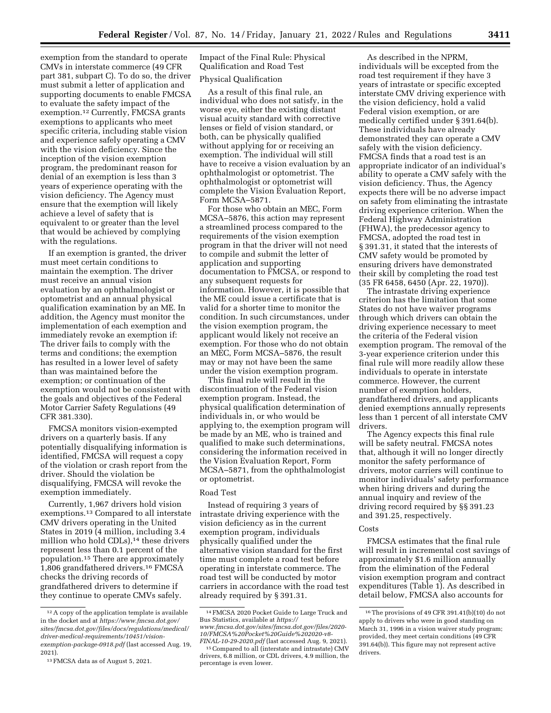exemption from the standard to operate CMVs in interstate commerce (49 CFR part 381, subpart C). To do so, the driver must submit a letter of application and supporting documents to enable FMCSA to evaluate the safety impact of the exemption.12 Currently, FMCSA grants exemptions to applicants who meet specific criteria, including stable vision and experience safely operating a CMV with the vision deficiency. Since the inception of the vision exemption program, the predominant reason for denial of an exemption is less than 3 years of experience operating with the vision deficiency. The Agency must ensure that the exemption will likely achieve a level of safety that is equivalent to or greater than the level that would be achieved by complying with the regulations.

If an exemption is granted, the driver must meet certain conditions to maintain the exemption. The driver must receive an annual vision evaluation by an ophthalmologist or optometrist and an annual physical qualification examination by an ME. In addition, the Agency must monitor the implementation of each exemption and immediately revoke an exemption if: The driver fails to comply with the terms and conditions; the exemption has resulted in a lower level of safety than was maintained before the exemption; or continuation of the exemption would not be consistent with the goals and objectives of the Federal Motor Carrier Safety Regulations (49 CFR 381.330).

FMCSA monitors vision-exempted drivers on a quarterly basis. If any potentially disqualifying information is identified, FMCSA will request a copy of the violation or crash report from the driver. Should the violation be disqualifying, FMCSA will revoke the exemption immediately.

Currently, 1,967 drivers hold vision exemptions.13 Compared to all interstate CMV drivers operating in the United States in 2019 (4 million, including 3.4 million who hold CDLs),<sup>14</sup> these drivers represent less than 0.1 percent of the population.15 There are approximately 1,806 grandfathered drivers.16 FMCSA checks the driving records of grandfathered drivers to determine if they continue to operate CMVs safely.

Impact of the Final Rule: Physical Qualification and Road Test

# Physical Qualification

As a result of this final rule, an individual who does not satisfy, in the worse eye, either the existing distant visual acuity standard with corrective lenses or field of vision standard, or both, can be physically qualified without applying for or receiving an exemption. The individual will still have to receive a vision evaluation by an ophthalmologist or optometrist. The ophthalmologist or optometrist will complete the Vision Evaluation Report, Form MCSA–5871.

For those who obtain an MEC, Form MCSA–5876, this action may represent a streamlined process compared to the requirements of the vision exemption program in that the driver will not need to compile and submit the letter of application and supporting documentation to FMCSA, or respond to any subsequent requests for information. However, it is possible that the ME could issue a certificate that is valid for a shorter time to monitor the condition. In such circumstances, under the vision exemption program, the applicant would likely not receive an exemption. For those who do not obtain an MEC, Form MCSA–5876, the result may or may not have been the same under the vision exemption program.

This final rule will result in the discontinuation of the Federal vision exemption program. Instead, the physical qualification determination of individuals in, or who would be applying to, the exemption program will be made by an ME, who is trained and qualified to make such determinations, considering the information received in the Vision Evaluation Report, Form MCSA–5871, from the ophthalmologist or optometrist.

#### Road Test

Instead of requiring 3 years of intrastate driving experience with the vision deficiency as in the current exemption program, individuals physically qualified under the alternative vision standard for the first time must complete a road test before operating in interstate commerce. The road test will be conducted by motor carriers in accordance with the road test already required by § 391.31.

As described in the NPRM, individuals will be excepted from the road test requirement if they have 3 years of intrastate or specific excepted interstate CMV driving experience with the vision deficiency, hold a valid Federal vision exemption, or are medically certified under § 391.64(b). These individuals have already demonstrated they can operate a CMV safely with the vision deficiency. FMCSA finds that a road test is an appropriate indicator of an individual's ability to operate a CMV safely with the vision deficiency. Thus, the Agency expects there will be no adverse impact on safety from eliminating the intrastate driving experience criterion. When the Federal Highway Administration (FHWA), the predecessor agency to FMCSA, adopted the road test in § 391.31, it stated that the interests of CMV safety would be promoted by ensuring drivers have demonstrated their skill by completing the road test (35 FR 6458, 6450 (Apr. 22, 1970)).

The intrastate driving experience criterion has the limitation that some States do not have waiver programs through which drivers can obtain the driving experience necessary to meet the criteria of the Federal vision exemption program. The removal of the 3-year experience criterion under this final rule will more readily allow these individuals to operate in interstate commerce. However, the current number of exemption holders, grandfathered drivers, and applicants denied exemptions annually represents less than 1 percent of all interstate CMV drivers.

The Agency expects this final rule will be safety neutral. FMCSA notes that, although it will no longer directly monitor the safety performance of drivers, motor carriers will continue to monitor individuals' safety performance when hiring drivers and during the annual inquiry and review of the driving record required by §§ 391.23 and 391.25, respectively.

### Costs

FMCSA estimates that the final rule will result in incremental cost savings of approximately \$1.6 million annually from the elimination of the Federal vision exemption program and contract expenditures (Table 1). As described in detail below, FMCSA also accounts for

<sup>&</sup>lt;sup>12</sup> A copy of the application template is available in the docket and at *[https://www.fmcsa.dot.gov/](https://www.fmcsa.dot.gov/sites/fmcsa.dot.gov/files/docs/regulations/medical/driver-medical-requirements/10451/vision-exemption-package-0918.pdf) [sites/fmcsa.dot.gov/files/docs/regulations/medical/](https://www.fmcsa.dot.gov/sites/fmcsa.dot.gov/files/docs/regulations/medical/driver-medical-requirements/10451/vision-exemption-package-0918.pdf)  [driver-medical-requirements/10451/vision](https://www.fmcsa.dot.gov/sites/fmcsa.dot.gov/files/docs/regulations/medical/driver-medical-requirements/10451/vision-exemption-package-0918.pdf)[exemption-package-0918.pdf](https://www.fmcsa.dot.gov/sites/fmcsa.dot.gov/files/docs/regulations/medical/driver-medical-requirements/10451/vision-exemption-package-0918.pdf)* (last accessed Aug. 19, 2021).

<sup>13</sup>FMCSA data as of August 5, 2021.

<sup>14</sup>FMCSA 2020 Pocket Guide to Large Truck and Bus Statistics, available at *[https://](https://www.fmcsa.dot.gov/sites/fmcsa.dot.gov/files/2020-10/FMCSA%20Pocket%20Guide%202020-v8-FINAL-10-29-2020.pdf) [www.fmcsa.dot.gov/sites/fmcsa.dot.gov/files/2020-](https://www.fmcsa.dot.gov/sites/fmcsa.dot.gov/files/2020-10/FMCSA%20Pocket%20Guide%202020-v8-FINAL-10-29-2020.pdf) [10/FMCSA%20Pocket%20Guide%202020-v8-](https://www.fmcsa.dot.gov/sites/fmcsa.dot.gov/files/2020-10/FMCSA%20Pocket%20Guide%202020-v8-FINAL-10-29-2020.pdf)* 

<sup>&</sup>lt;sup>15</sup> Compared to all (interstate and intrastate) CMV drivers, 6.8 million, or CDL drivers, 4.9 million, the percentage is even lower.

<sup>16</sup>The provisions of 49 CFR 391.41(b)(10) do not apply to drivers who were in good standing on March 31, 1996 in a vision waiver study program; provided, they meet certain conditions (49 CFR 391.64(b)). This figure may not represent active drivers.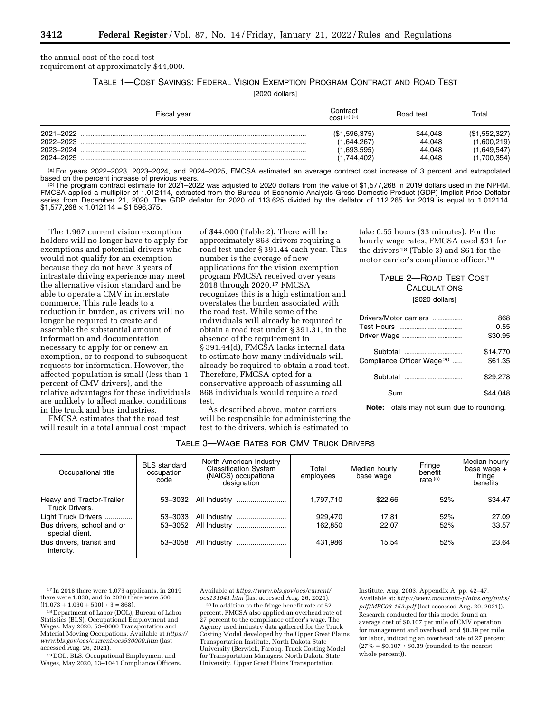the annual cost of the road test requirement at approximately \$44,000.

TABLE 1—COST SAVINGS: FEDERAL VISION EXEMPTION PROGRAM CONTRACT AND ROAD TEST

[2020 dollars]

| Fiscal year                         | Contract<br>$\text{cost}^{(a)}$ <sub>(b)</sub>             | Road test                              | Total                                                     |
|-------------------------------------|------------------------------------------------------------|----------------------------------------|-----------------------------------------------------------|
| 2022-2023<br>2023-2024<br>2024-2025 | (\$1,596,375)<br>(1,644,267)<br>(1,693,595)<br>(1.744.402) | \$44,048<br>44,048<br>44,048<br>44,048 | (\$1,552,327)<br>(1,600,219)<br>1,649,547)<br>(1,700,354) |

 $^{(a)}$  For years 2022–2023, 2023–2024, and 2024–2025, FMCSA estimated an average contract cost increase of 3 percent and extrapolated based on the percent increase of previous years.

(b)The program contract estimate for 2021–2022 was adjusted to 2020 dollars from the value of \$1,577,268 in 2019 dollars used in the NPRM. FMCSA applied a multiplier of 1.012114, extracted from the Bureau of Economic Analysis Gross Domestic Product (GDP) Implicit Price Deflator series from December 21, 2020. The GDP deflator for 2020 of 113.625 divided by the deflator of 112.265 for 2019 is equal to 1.012114.  $$1,577,268 \times 1.012114 = $1,596,375.$ 

The 1,967 current vision exemption holders will no longer have to apply for exemptions and potential drivers who would not qualify for an exemption because they do not have 3 years of intrastate driving experience may meet the alternative vision standard and be able to operate a CMV in interstate commerce. This rule leads to a reduction in burden, as drivers will no longer be required to create and assemble the substantial amount of information and documentation necessary to apply for or renew an exemption, or to respond to subsequent requests for information. However, the affected population is small (less than 1 percent of CMV drivers), and the relative advantages for these individuals are unlikely to affect market conditions in the truck and bus industries.

FMCSA estimates that the road test will result in a total annual cost impact

of \$44,000 (Table 2). There will be approximately 868 drivers requiring a road test under § 391.44 each year. This number is the average of new applications for the vision exemption program FMCSA received over years 2018 through 2020.17 FMCSA recognizes this is a high estimation and overstates the burden associated with the road test. While some of the individuals will already be required to obtain a road test under § 391.31, in the absence of the requirement in § 391.44(d), FMCSA lacks internal data to estimate how many individuals will already be required to obtain a road test. Therefore, FMCSA opted for a conservative approach of assuming all 868 individuals would require a road test.

As described above, motor carriers will be responsible for administering the

test to the drivers, which is estimated to

take 0.55 hours (33 minutes). For the hourly wage rates, FMCSA used \$31 for the drivers 18 (Table 3) and \$61 for the motor carrier's compliance officer.19

# TABLE 2—ROAD TEST COST **CALCULATIONS** [2020 dollars]

| Drivers/Motor carriers                | 868      |
|---------------------------------------|----------|
| Test Hours                            | 0.55     |
| Driver Wage                           | \$30.95  |
| Subtotal                              | \$14,770 |
| Compliance Officer Wage <sup>20</sup> | \$61.35  |
| Subtotal                              | \$29.278 |
| Sum                                   | \$44.048 |

**Note:** Totals may not sum due to rounding.

| Occupational title                            | <b>BLS</b> standard<br>occupation<br>code | North American Industry<br><b>Classification System</b><br>(NAICS) occupational<br>designation | Total<br>employees | Median hourly<br>base wage | Fringe<br>benefit<br>rate $(c)$ | Median hourly<br>base wage +<br>fringe<br>benefits |
|-----------------------------------------------|-------------------------------------------|------------------------------------------------------------------------------------------------|--------------------|----------------------------|---------------------------------|----------------------------------------------------|
| Heavy and Tractor-Trailer<br>Truck Drivers.   | 53-3032                                   | All Industry                                                                                   | 1,797,710          | \$22.66                    | 52%                             | \$34.47                                            |
| Light Truck Drivers                           | 53-3033                                   | All Industry                                                                                   | 929.470            | 17.81                      | 52%                             | 27.09                                              |
| Bus drivers, school and or<br>special client. | 53-3052                                   | All Industry                                                                                   | 162,850            | 22.07                      | 52%                             | 33.57                                              |
| Bus drivers, transit and<br>intercity.        | 53-3058                                   | All Industry                                                                                   | 431.986            | 15.54                      | 52%                             | 23.64                                              |

TABLE 3—WAGE RATES FOR CMV TRUCK DRIVERS

17 In 2018 there were 1,073 applicants, in 2019 there were 1,030, and in 2020 there were 500

 $((1,073 + 1,030 + 500) \div 3 = 868)$ .<br><sup>18</sup> Department of Labor (DOL), Bureau of Labor Statistics (BLS). Occupational Employment and Wages, May 2020, 53–0000 Transportation and Material Moving Occupations. Available at *[https://](https://www.bls.gov/oes/current/oes530000.htm)  [www.bls.gov/oes/current/oes530000.htm](https://www.bls.gov/oes/current/oes530000.htm)* (last accessed Aug. 26, 2021).

19 DOL, BLS. Occupational Employment and Wages, May 2020, 13–1041 Compliance Officers. Available at *[https://www.bls.gov/oes/current/](https://www.bls.gov/oes/current/oes131041.htm) [oes131041.htm](https://www.bls.gov/oes/current/oes131041.htm)* (last accessed Aug. 26, 2021).

20 In addition to the fringe benefit rate of 52

percent, FMCSA also applied an overhead rate of 27 percent to the compliance officer's wage. The Agency used industry data gathered for the Truck Costing Model developed by the Upper Great Plains Transportation Institute, North Dakota State University (Berwick, Farooq. Truck Costing Model for Transportation Managers. North Dakota State University. Upper Great Plains Transportation

Institute. Aug. 2003. Appendix A, pp. 42–47. Available at: *[http://www.mountain-plains.org/pubs/](http://www.mountain-plains.org/pubs/pdf/MPC03-152.pdf)  [pdf/MPC03-152.pdf](http://www.mountain-plains.org/pubs/pdf/MPC03-152.pdf)* (last accessed Aug. 20, 2021)). Research conducted for this model found an average cost of \$0.107 per mile of CMV operation for management and overhead, and \$0.39 per mile for labor, indicating an overhead rate of 27 percent  $(27\% = $0.107 \div $0.39$  (rounded to the nearest whole percent)).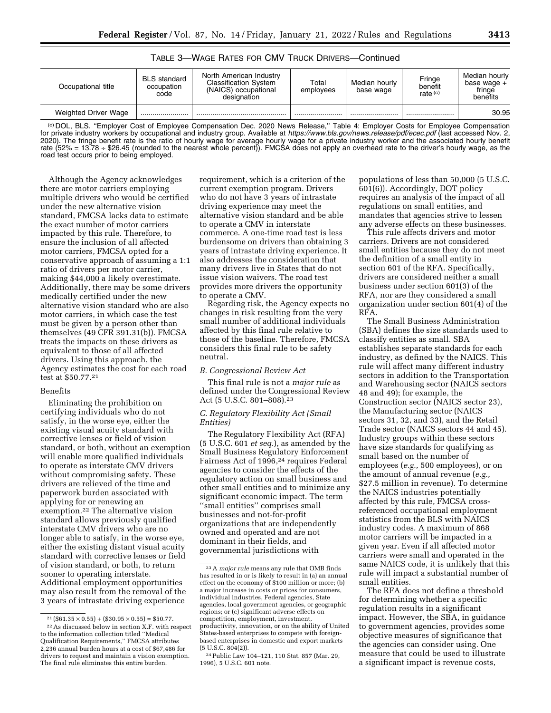| Occupational title   | <b>BLS</b> standard<br>occupation<br>code | North American Industry<br><b>Classification System</b><br>(NAICS) occupational<br>designation | Total<br>employees | Median hourly<br>base wage | Fringe<br>benefit<br>rate $(c)$ | Median hourly<br>base wage +<br>fringe<br>benefits |
|----------------------|-------------------------------------------|------------------------------------------------------------------------------------------------|--------------------|----------------------------|---------------------------------|----------------------------------------------------|
| Weighted Driver Wage |                                           |                                                                                                |                    |                            |                                 | 30.95                                              |

### TABLE 3—WAGE RATES FOR CMV TRUCK DRIVERS—Continued

(c) DOL, BLS. ''Employer Cost of Employee Compensation Dec. 2020 News Release,'' Table 4: Employer Costs for Employee Compensation for private industry workers by occupational and industry group. Available at *<https://www.bls.gov/news.release/pdf/ecec.pdf>* (last accessed Nov. 2, 2020). The fringe benefit rate is the ratio of hourly wage for average hourly wage for a private industry worker and the associated hourly benefit rate (52% = 13.78 ÷ \$26.45 (rounded to the nearest whole percent)). FMCSA does not apply an overhead rate to the driver's hourly wage, as the road test occurs prior to being employed.

Although the Agency acknowledges there are motor carriers employing multiple drivers who would be certified under the new alternative vision standard, FMCSA lacks data to estimate the exact number of motor carriers impacted by this rule. Therefore, to ensure the inclusion of all affected motor carriers, FMCSA opted for a conservative approach of assuming a 1:1 ratio of drivers per motor carrier, making \$44,000 a likely overestimate. Additionally, there may be some drivers medically certified under the new alternative vision standard who are also motor carriers, in which case the test must be given by a person other than themselves (49 CFR 391.31(b)). FMCSA treats the impacts on these drivers as equivalent to those of all affected drivers. Using this approach, the Agency estimates the cost for each road test at \$50.77.21

### Benefits

Eliminating the prohibition on certifying individuals who do not satisfy, in the worse eye, either the existing visual acuity standard with corrective lenses or field of vision standard, or both, without an exemption will enable more qualified individuals to operate as interstate CMV drivers without compromising safety. These drivers are relieved of the time and paperwork burden associated with applying for or renewing an exemption.22 The alternative vision standard allows previously qualified interstate CMV drivers who are no longer able to satisfy, in the worse eye, either the existing distant visual acuity standard with corrective lenses or field of vision standard, or both, to return sooner to operating interstate. Additional employment opportunities may also result from the removal of the 3 years of intrastate driving experience

22As discussed below in section X.F. with respect to the information collection titled ''Medical Qualification Requirements,'' FMCSA attributes 2,236 annual burden hours at a cost of \$67,486 for drivers to request and maintain a vision exemption. The final rule eliminates this entire burden.

requirement, which is a criterion of the current exemption program. Drivers who do not have 3 years of intrastate driving experience may meet the alternative vision standard and be able to operate a CMV in interstate commerce. A one-time road test is less burdensome on drivers than obtaining 3 years of intrastate driving experience. It also addresses the consideration that many drivers live in States that do not issue vision waivers. The road test provides more drivers the opportunity to operate a CMV.

Regarding risk, the Agency expects no changes in risk resulting from the very small number of additional individuals affected by this final rule relative to those of the baseline. Therefore, FMCSA considers this final rule to be safety neutral.

### *B. Congressional Review Act*

This final rule is not a *major rule* as defined under the Congressional Review Act (5 U.S.C. 801–808).23

# *C. Regulatory Flexibility Act (Small Entities)*

The Regulatory Flexibility Act (RFA) (5 U.S.C. 601 *et seq.*), as amended by the Small Business Regulatory Enforcement Fairness Act of 1996,<sup>24</sup> requires Federal agencies to consider the effects of the regulatory action on small business and other small entities and to minimize any significant economic impact. The term ''small entities'' comprises small businesses and not-for-profit organizations that are independently owned and operated and are not dominant in their fields, and governmental jurisdictions with

populations of less than 50,000 (5 U.S.C. 601(6)). Accordingly, DOT policy requires an analysis of the impact of all regulations on small entities, and mandates that agencies strive to lessen any adverse effects on these businesses.

This rule affects drivers and motor carriers. Drivers are not considered small entities because they do not meet the definition of a small entity in section 601 of the RFA. Specifically, drivers are considered neither a small business under section 601(3) of the RFA, nor are they considered a small organization under section 601(4) of the RFA.

The Small Business Administration (SBA) defines the size standards used to classify entities as small. SBA establishes separate standards for each industry, as defined by the NAICS. This rule will affect many different industry sectors in addition to the Transportation and Warehousing sector (NAICS sectors 48 and 49); for example, the Construction sector (NAICS sector 23), the Manufacturing sector (NAICS sectors 31, 32, and 33), and the Retail Trade sector (NAICS sectors 44 and 45). Industry groups within these sectors have size standards for qualifying as small based on the number of employees (*e.g.,* 500 employees), or on the amount of annual revenue (*e.g.,*  \$27.5 million in revenue). To determine the NAICS industries potentially affected by this rule, FMCSA crossreferenced occupational employment statistics from the BLS with NAICS industry codes. A maximum of 868 motor carriers will be impacted in a given year. Even if all affected motor carriers were small and operated in the same NAICS code, it is unlikely that this rule will impact a substantial number of small entities.

The RFA does not define a threshold for determining whether a specific regulation results in a significant impact. However, the SBA, in guidance to government agencies, provides some objective measures of significance that the agencies can consider using. One measure that could be used to illustrate a significant impact is revenue costs,

 $^{21} \left(\$61.35 \times 0.55\right) + \left(\$30.95 \times 0.55\right) = \$50.77.$ 

<sup>23</sup>A *major rule* means any rule that OMB finds has resulted in or is likely to result in (a) an annual effect on the economy of \$100 million or more; (b) a major increase in costs or prices for consumers, individual industries, Federal agencies, State agencies, local government agencies, or geographic regions; or (c) significant adverse effects on competition, employment, investment, productivity, innovation, or on the ability of United States-based enterprises to compete with foreignbased enterprises in domestic and export markets  $(5 \text{ U.S.C. } 804(2))$ .

<sup>24</sup>Public Law 104–121, 110 Stat. 857 (Mar. 29, 1996), 5 U.S.C. 601 note.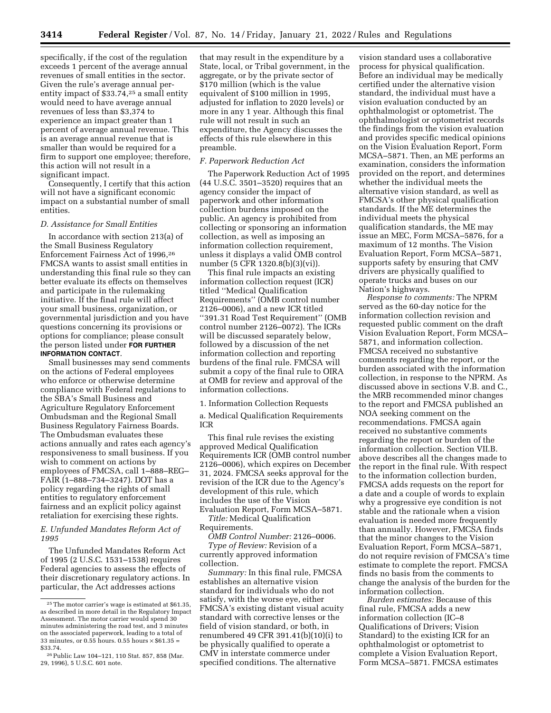specifically, if the cost of the regulation exceeds 1 percent of the average annual revenues of small entities in the sector. Given the rule's average annual perentity impact of \$33.74,25 a small entity would need to have average annual revenues of less than \$3,374 to experience an impact greater than 1 percent of average annual revenue. This is an average annual revenue that is smaller than would be required for a firm to support one employee; therefore, this action will not result in a significant impact.

Consequently, I certify that this action will not have a significant economic impact on a substantial number of small entities.

# *D. Assistance for Small Entities*

In accordance with section 213(a) of the Small Business Regulatory Enforcement Fairness Act of 1996,26 FMCSA wants to assist small entities in understanding this final rule so they can better evaluate its effects on themselves and participate in the rulemaking initiative. If the final rule will affect your small business, organization, or governmental jurisdiction and you have questions concerning its provisions or options for compliance; please consult the person listed under **FOR FURTHER INFORMATION CONTACT**.

Small businesses may send comments on the actions of Federal employees who enforce or otherwise determine compliance with Federal regulations to the SBA's Small Business and Agriculture Regulatory Enforcement Ombudsman and the Regional Small Business Regulatory Fairness Boards. The Ombudsman evaluates these actions annually and rates each agency's responsiveness to small business. If you wish to comment on actions by employees of FMCSA, call 1–888–REG– FAIR (1–888–734–3247). DOT has a policy regarding the rights of small entities to regulatory enforcement fairness and an explicit policy against retaliation for exercising these rights.

*E. Unfunded Mandates Reform Act of 1995* 

The Unfunded Mandates Reform Act of 1995 (2 U.S.C. 1531–1538) requires Federal agencies to assess the effects of their discretionary regulatory actions. In particular, the Act addresses actions

that may result in the expenditure by a State, local, or Tribal government, in the aggregate, or by the private sector of \$170 million (which is the value equivalent of \$100 million in 1995, adjusted for inflation to 2020 levels) or more in any 1 year. Although this final rule will not result in such an expenditure, the Agency discusses the effects of this rule elsewhere in this preamble.

#### *F. Paperwork Reduction Act*

The Paperwork Reduction Act of 1995 (44 U.S.C. 3501–3520) requires that an agency consider the impact of paperwork and other information collection burdens imposed on the public. An agency is prohibited from collecting or sponsoring an information collection, as well as imposing an information collection requirement, unless it displays a valid OMB control number (5 CFR 1320.8(b)(3)(vi)).

This final rule impacts an existing information collection request (ICR) titled ''Medical Qualification Requirements'' (OMB control number 2126–0006), and a new ICR titled ''391.31 Road Test Requirement'' (OMB control number 2126–0072). The ICRs will be discussed separately below, followed by a discussion of the net information collection and reporting burdens of the final rule. FMCSA will submit a copy of the final rule to OIRA at OMB for review and approval of the information collections.

1. Information Collection Requests

a. Medical Qualification Requirements ICR

This final rule revises the existing approved Medical Qualification Requirements ICR (OMB control number 2126–0006), which expires on December 31, 2024. FMCSA seeks approval for the revision of the ICR due to the Agency's development of this rule, which includes the use of the Vision Evaluation Report, Form MCSA–5871.

*Title:* Medical Qualification

Requirements.

*OMB Control Number:* 2126–0006. *Type of Review:* Revision of a currently approved information

collection.

*Summary:* In this final rule, FMCSA establishes an alternative vision standard for individuals who do not satisfy, with the worse eye, either FMCSA's existing distant visual acuity standard with corrective lenses or the field of vision standard, or both, in renumbered 49 CFR 391.41(b)(10)(i) to be physically qualified to operate a CMV in interstate commerce under specified conditions. The alternative

vision standard uses a collaborative process for physical qualification. Before an individual may be medically certified under the alternative vision standard, the individual must have a vision evaluation conducted by an ophthalmologist or optometrist. The ophthalmologist or optometrist records the findings from the vision evaluation and provides specific medical opinions on the Vision Evaluation Report, Form MCSA–5871. Then, an ME performs an examination, considers the information provided on the report, and determines whether the individual meets the alternative vision standard, as well as FMCSA's other physical qualification standards. If the ME determines the individual meets the physical qualification standards, the ME may issue an MEC, Form MCSA–5876, for a maximum of 12 months. The Vision Evaluation Report, Form MCSA–5871, supports safety by ensuring that CMV drivers are physically qualified to operate trucks and buses on our Nation's highways.

*Response to comments:* The NPRM served as the 60-day notice for the information collection revision and requested public comment on the draft Vision Evaluation Report, Form MCSA– 5871, and information collection. FMCSA received no substantive comments regarding the report, or the burden associated with the information collection, in response to the NPRM. As discussed above in sections V.B. and C., the MRB recommended minor changes to the report and FMCSA published an NOA seeking comment on the recommendations. FMCSA again received no substantive comments regarding the report or burden of the information collection. Section VII.B. above describes all the changes made to the report in the final rule. With respect to the information collection burden, FMCSA adds requests on the report for a date and a couple of words to explain why a progressive eye condition is not stable and the rationale when a vision evaluation is needed more frequently than annually. However, FMCSA finds that the minor changes to the Vision Evaluation Report, Form MCSA–5871, do not require revision of FMCSA's time estimate to complete the report. FMCSA finds no basis from the comments to change the analysis of the burden for the information collection.

*Burden estimates:* Because of this final rule, FMCSA adds a new information collection (IC–8 Qualifications of Drivers; Vision Standard) to the existing ICR for an ophthalmologist or optometrist to complete a Vision Evaluation Report, Form MCSA–5871. FMCSA estimates

<sup>25</sup>The motor carrier's wage is estimated at \$61.35, as described in more detail in the Regulatory Impact Assessment. The motor carrier would spend 30 minutes administering the road test, and 3 minutes on the associated paperwork, leading to a total of 33 minutes, or 0.55 hours. 0.55 hours  $\times$  \$61.35 = \$33.74.

<sup>26</sup>Public Law 104–121, 110 Stat. 857, 858 (Mar. 29, 1996), 5 U.S.C. 601 note.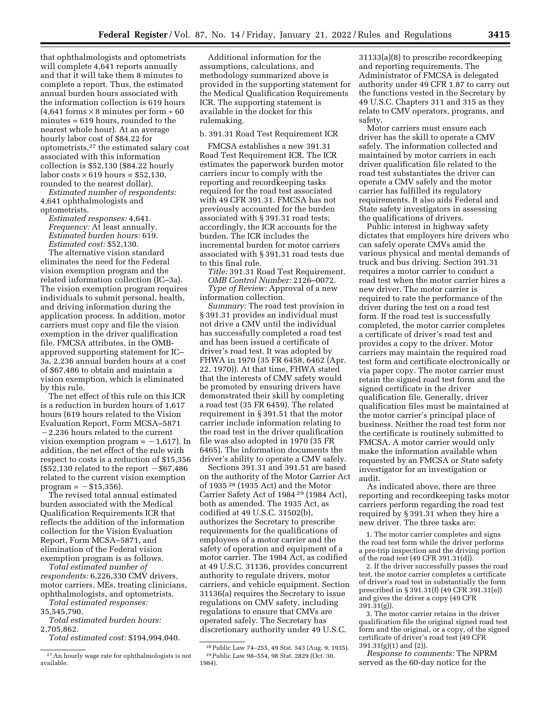that ophthalmologists and optometrists will complete 4,641 reports annually and that it will take them 8 minutes to complete a report. Thus, the estimated annual burden hours associated with the information collection is 619 hours  $(4,641$  forms  $\times$  8 minutes per form  $\div$  60 minutes = 619 hours, rounded to the nearest whole hour). At an average hourly labor cost of \$84.22 for optometrists,27 the estimated salary cost associated with this information collection is \$52,130 (\$84.22 hourly labor costs  $\times$  619 hours = \$52,130, rounded to the nearest dollar).

*Estimated number of respondents:*  4,641 ophthalmologists and optometrists.

*Estimated responses:* 4,641. *Frequency:* At least annually. *Estimated burden hours:* 619. *Estimated cost:* \$52,130.

The alternative vision standard eliminates the need for the Federal vision exemption program and the related information collection (IC–3a). The vision exemption program requires individuals to submit personal, health, and driving information during the application process. In addition, motor carriers must copy and file the vision exemption in the driver qualification file. FMCSA attributes, in the OMBapproved supporting statement for IC– 3a, 2,236 annual burden hours at a cost of \$67,486 to obtain and maintain a vision exemption, which is eliminated by this rule.

The net effect of this rule on this ICR is a reduction in burden hours of 1,617 hours (619 hours related to the Vision Evaluation Report, Form MCSA–5871  $-2,236$  hours related to the current vision exemption program  $= -1,617$ . In addition, the net effect of the rule with respect to costs is a reduction of \$15,356  $($52,130$  related to the report  $-$67,486$ related to the current vision exemption  $program = -\$15,356$ .

The revised total annual estimated burden associated with the Medical Qualification Requirements ICR that reflects the addition of the information collection for the Vision Evaluation Report, Form MCSA–5871, and elimination of the Federal vision exemption program is as follows.

*Total estimated number of respondents:* 6,226,330 CMV drivers, motor carriers, MEs, treating clinicians, ophthalmologists, and optometrists.

*Total estimated responses:*  35,545,790.

*Total estimated burden hours:*  2,705,862.

*Total estimated cost:* \$194,994,040.

Additional information for the assumptions, calculations, and methodology summarized above is provided in the supporting statement for the Medical Qualification Requirements ICR. The supporting statement is available in the docket for this rulemaking.

#### b. 391.31 Road Test Requirement ICR

FMCSA establishes a new 391.31 Road Test Requirement ICR. The ICR estimates the paperwork burden motor carriers incur to comply with the reporting and recordkeeping tasks required for the road test associated with 49 CFR 391.31. FMCSA has not previously accounted for the burden associated with § 391.31 road tests; accordingly, the ICR accounts for the burden. The ICR includes the incremental burden for motor carriers associated with § 391.31 road tests due to this final rule.

*Title:* 391.31 Road Test Requirement. *OMB Control Number:* 2126–0072. *Type of Review:* Approval of a new

information collection.

*Summary:* The road test provision in § 391.31 provides an individual must not drive a CMV until the individual has successfully completed a road test and has been issued a certificate of driver's road test. It was adopted by FHWA in 1970 (35 FR 6458, 6462 (Apr. 22, 1970)). At that time, FHWA stated that the interests of CMV safety would be promoted by ensuring drivers have demonstrated their skill by completing a road test (35 FR 6459). The related requirement in § 391.51 that the motor carrier include information relating to the road test in the driver qualification file was also adopted in 1970 (35 FR 6465). The information documents the driver's ability to operate a CMV safely.

Sections 391.31 and 391.51 are based on the authority of the Motor Carrier Act of 1935 28 (1935 Act) and the Motor Carrier Safety Act of 1984 29 (1984 Act), both as amended. The 1935 Act, as codified at 49 U.S.C. 31502(b), authorizes the Secretary to prescribe requirements for the qualifications of employees of a motor carrier and the safety of operation and equipment of a motor carrier. The 1984 Act, as codified at 49 U.S.C. 31136, provides concurrent authority to regulate drivers, motor carriers, and vehicle equipment. Section 31136(a) requires the Secretary to issue regulations on CMV safety, including regulations to ensure that CMVs are operated safely. The Secretary has discretionary authority under 49 U.S.C.

31133(a)(8) to prescribe recordkeeping and reporting requirements. The Administrator of FMCSA is delegated authority under 49 CFR 1.87 to carry out the functions vested in the Secretary by 49 U.S.C. Chapters 311 and 315 as they relate to CMV operators, programs, and safety.

Motor carriers must ensure each driver has the skill to operate a CMV safely. The information collected and maintained by motor carriers in each driver qualification file related to the road test substantiates the driver can operate a CMV safely and the motor carrier has fulfilled its regulatory requirements. It also aids Federal and State safety investigators in assessing the qualifications of drivers.

Public interest in highway safety dictates that employers hire drivers who can safely operate CMVs amid the various physical and mental demands of truck and bus driving. Section 391.31 requires a motor carrier to conduct a road test when the motor carrier hires a new driver. The motor carrier is required to rate the performance of the driver during the test on a road test form. If the road test is successfully completed, the motor carrier completes a certificate of driver's road test and provides a copy to the driver. Motor carriers may maintain the required road test form and certificate electronically or via paper copy. The motor carrier must retain the signed road test form and the signed certificate in the driver qualification file. Generally, driver qualification files must be maintained at the motor carrier's principal place of business. Neither the road test form nor the certificate is routinely submitted to FMCSA. A motor carrier would only make the information available when requested by an FMCSA or State safety investigator for an investigation or audit.

As indicated above, there are three reporting and recordkeeping tasks motor carriers perform regarding the road test required by § 391.31 when they hire a new driver. The three tasks are:

1. The motor carrier completes and signs the road test form while the driver performs a pre-trip inspection and the driving portion of the road test (49 CFR 391.31(d)).

2. If the driver successfully passes the road test, the motor carrier completes a certificate of driver's road test in substantially the form prescribed in § 391.31(f) (49 CFR 391.31(e)) and gives the driver a copy (49 CFR  $391.31(g)$ ).

3. The motor carrier retains in the driver qualification file the original signed road test form and the original, or a copy, of the signed certificate of driver's road test (49 CFR 391.31(g)(1) and (2)).

*Response to comments:* The NPRM served as the 60-day notice for the

<sup>27</sup>An hourly wage rate for ophthalmologists is not available.

<sup>28</sup>Public Law 74–255, 49 Stat. 543 (Aug. 9, 1935). 29Public Law 98–554, 98 Stat. 2829 (Oct. 30, 1984).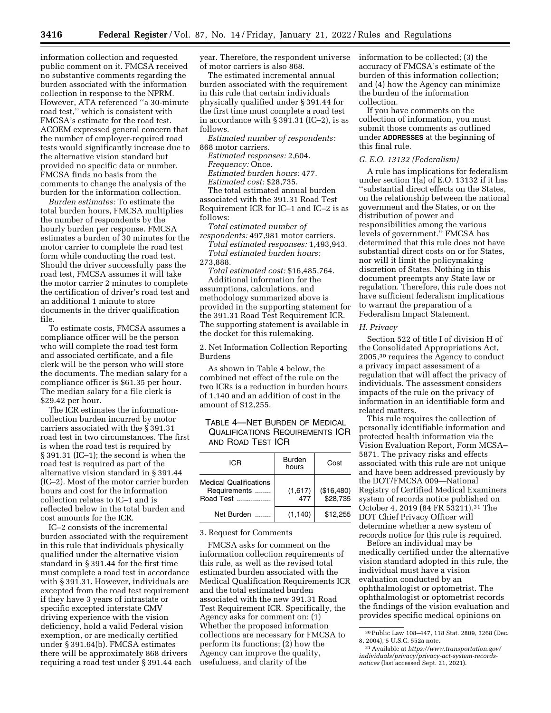information collection and requested public comment on it. FMCSA received no substantive comments regarding the burden associated with the information collection in response to the NPRM. However, ATA referenced ''a 30-minute road test,'' which is consistent with FMCSA's estimate for the road test. ACOEM expressed general concern that the number of employer-required road tests would significantly increase due to the alternative vision standard but provided no specific data or number. FMCSA finds no basis from the comments to change the analysis of the burden for the information collection.

*Burden estimates:* To estimate the total burden hours, FMCSA multiplies the number of respondents by the hourly burden per response. FMCSA estimates a burden of 30 minutes for the motor carrier to complete the road test form while conducting the road test. Should the driver successfully pass the road test, FMCSA assumes it will take the motor carrier 2 minutes to complete the certification of driver's road test and an additional 1 minute to store documents in the driver qualification file.

To estimate costs, FMCSA assumes a compliance officer will be the person who will complete the road test form and associated certificate, and a file clerk will be the person who will store the documents. The median salary for a compliance officer is \$61.35 per hour. The median salary for a file clerk is \$29.42 per hour.

The ICR estimates the informationcollection burden incurred by motor carriers associated with the § 391.31 road test in two circumstances. The first is when the road test is required by § 391.31 (IC–1); the second is when the road test is required as part of the alternative vision standard in § 391.44 (IC–2). Most of the motor carrier burden hours and cost for the information collection relates to IC–1 and is reflected below in the total burden and cost amounts for the ICR.

IC–2 consists of the incremental burden associated with the requirement in this rule that individuals physically qualified under the alternative vision standard in § 391.44 for the first time must complete a road test in accordance with § 391.31. However, individuals are excepted from the road test requirement if they have 3 years of intrastate or specific excepted interstate CMV driving experience with the vision deficiency, hold a valid Federal vision exemption, or are medically certified under § 391.64(b). FMCSA estimates there will be approximately 868 drivers requiring a road test under § 391.44 each year. Therefore, the respondent universe of motor carriers is also 868.

The estimated incremental annual burden associated with the requirement in this rule that certain individuals physically qualified under § 391.44 for the first time must complete a road test in accordance with § 391.31 (IC–2), is as follows.

*Estimated number of respondents:*  868 motor carriers.

*Estimated responses:* 2,604. *Frequency:* Once. *Estimated burden hours:* 477. *Estimated cost:* \$28,735. The total estimated annual burden associated with the 391.31 Road Test

Requirement ICR for IC–1 and IC–2 is as follows:

*Total estimated number of respondents:* 497,981 motor carriers. *Total estimated responses:* 1,493,943.

*Total estimated burden hours:*  273,888.

*Total estimated cost:* \$16,485,764. Additional information for the assumptions, calculations, and methodology summarized above is provided in the supporting statement for the 391.31 Road Test Requirement ICR. The supporting statement is available in the docket for this rulemaking.

2. Net Information Collection Reporting Burdens

As shown in Table 4 below, the combined net effect of the rule on the two ICRs is a reduction in burden hours of 1,140 and an addition of cost in the amount of \$12,255.

# TABLE 4—NET BURDEN OF MEDICAL QUALIFICATIONS REQUIREMENTS ICR AND ROAD TEST ICR

| ICR                                                               | <b>Burden</b><br>hours | Cost                   |
|-------------------------------------------------------------------|------------------------|------------------------|
| <b>Medical Qualifications</b><br>Requirements<br><b>Road Test</b> | (1,617)<br>477         | (\$16,480)<br>\$28,735 |
| Net Burden                                                        | (1, 140)               | \$12.255               |

3. Request for Comments

FMCSA asks for comment on the information collection requirements of this rule, as well as the revised total estimated burden associated with the Medical Qualification Requirements ICR and the total estimated burden associated with the new 391.31 Road Test Requirement ICR. Specifically, the Agency asks for comment on: (1) Whether the proposed information collections are necessary for FMCSA to perform its functions; (2) how the Agency can improve the quality, usefulness, and clarity of the

information to be collected; (3) the accuracy of FMCSA's estimate of the burden of this information collection; and (4) how the Agency can minimize the burden of the information collection.

If you have comments on the collection of information, you must submit those comments as outlined under **ADDRESSES** at the beginning of this final rule.

### *G. E.O. 13132 (Federalism)*

A rule has implications for federalism under section 1(a) of E.O. 13132 if it has ''substantial direct effects on the States, on the relationship between the national government and the States, or on the distribution of power and responsibilities among the various levels of government.'' FMCSA has determined that this rule does not have substantial direct costs on or for States, nor will it limit the policymaking discretion of States. Nothing in this document preempts any State law or regulation. Therefore, this rule does not have sufficient federalism implications to warrant the preparation of a Federalism Impact Statement.

### *H. Privacy*

Section 522 of title I of division H of the Consolidated Appropriations Act, 2005,30 requires the Agency to conduct a privacy impact assessment of a regulation that will affect the privacy of individuals. The assessment considers impacts of the rule on the privacy of information in an identifiable form and related matters.

This rule requires the collection of personally identifiable information and protected health information via the Vision Evaluation Report, Form MCSA– 5871. The privacy risks and effects associated with this rule are not unique and have been addressed previously by the DOT/FMCSA 009—National Registry of Certified Medical Examiners system of records notice published on October 4, 2019 (84 FR 53211).31 The DOT Chief Privacy Officer will determine whether a new system of records notice for this rule is required.

Before an individual may be medically certified under the alternative vision standard adopted in this rule, the individual must have a vision evaluation conducted by an ophthalmologist or optometrist. The ophthalmologist or optometrist records the findings of the vision evaluation and provides specific medical opinions on

<sup>30</sup>Public Law 108–447, 118 Stat. 2809, 3268 (Dec. 8, 2004), 5 U.S.C. 552a note.

<sup>31</sup>Available at *[https://www.transportation.gov/](https://www.transportation.gov/individuals/privacy/privacy-act-system-records-notices)  [individuals/privacy/privacy-act-system-records](https://www.transportation.gov/individuals/privacy/privacy-act-system-records-notices)[notices](https://www.transportation.gov/individuals/privacy/privacy-act-system-records-notices)* (last accessed Sept. 21, 2021).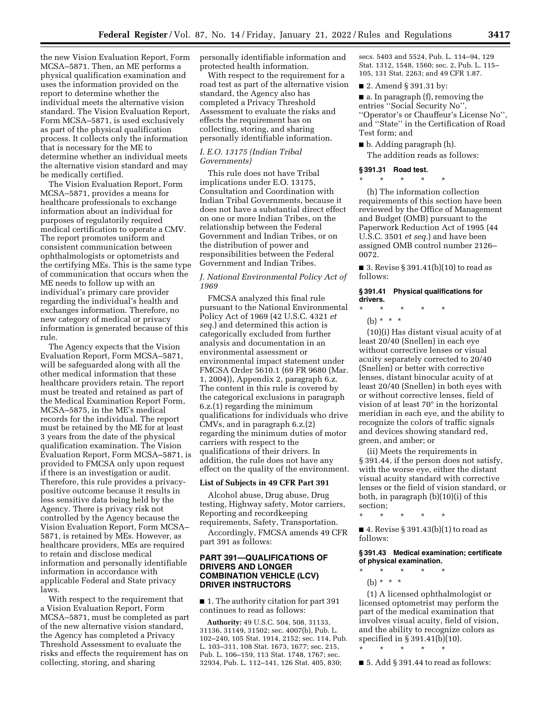the new Vision Evaluation Report, Form MCSA–5871. Then, an ME performs a physical qualification examination and uses the information provided on the report to determine whether the individual meets the alternative vision standard. The Vision Evaluation Report, Form MCSA–5871, is used exclusively as part of the physical qualification process. It collects only the information that is necessary for the ME to determine whether an individual meets the alternative vision standard and may be medically certified.

The Vision Evaluation Report, Form MCSA–5871, provides a means for healthcare professionals to exchange information about an individual for purposes of regulatorily required medical certification to operate a CMV. The report promotes uniform and consistent communication between ophthalmologists or optometrists and the certifying MEs. This is the same type of communication that occurs when the ME needs to follow up with an individual's primary care provider regarding the individual's health and exchanges information. Therefore, no new category of medical or privacy information is generated because of this rule.

The Agency expects that the Vision Evaluation Report, Form MCSA–5871, will be safeguarded along with all the other medical information that these healthcare providers retain. The report must be treated and retained as part of the Medical Examination Report Form, MCSA–5875, in the ME's medical records for the individual. The report must be retained by the ME for at least 3 years from the date of the physical qualification examination. The Vision Evaluation Report, Form MCSA–5871, is provided to FMCSA only upon request if there is an investigation or audit. Therefore, this rule provides a privacypositive outcome because it results in less sensitive data being held by the Agency. There is privacy risk not controlled by the Agency because the Vision Evaluation Report, Form MCSA– 5871, is retained by MEs. However, as healthcare providers, MEs are required to retain and disclose medical information and personally identifiable information in accordance with applicable Federal and State privacy laws.

With respect to the requirement that a Vision Evaluation Report, Form MCSA–5871, must be completed as part of the new alternative vision standard, the Agency has completed a Privacy Threshold Assessment to evaluate the risks and effects the requirement has on collecting, storing, and sharing

personally identifiable information and protected health information.

With respect to the requirement for a road test as part of the alternative vision standard, the Agency also has completed a Privacy Threshold Assessment to evaluate the risks and effects the requirement has on collecting, storing, and sharing personally identifiable information.

### *I. E.O. 13175 (Indian Tribal Governments)*

This rule does not have Tribal implications under E.O. 13175, Consultation and Coordination with Indian Tribal Governments, because it does not have a substantial direct effect on one or more Indian Tribes, on the relationship between the Federal Government and Indian Tribes, or on the distribution of power and responsibilities between the Federal Government and Indian Tribes.

### *J. National Environmental Policy Act of 1969*

FMCSA analyzed this final rule pursuant to the National Environmental Policy Act of 1969 (42 U.S.C. 4321 *et seq.*) and determined this action is categorically excluded from further analysis and documentation in an environmental assessment or environmental impact statement under FMCSA Order 5610.1 (69 FR 9680 (Mar. 1, 2004)), Appendix 2, paragraph 6.z. The content in this rule is covered by the categorical exclusions in paragraph 6.z.(1) regarding the minimum qualifications for individuals who drive CMVs, and in paragraph 6.z.(2) regarding the minimum duties of motor carriers with respect to the qualifications of their drivers. In addition, the rule does not have any effect on the quality of the environment.

# **List of Subjects in 49 CFR Part 391**

Alcohol abuse, Drug abuse, Drug testing, Highway safety, Motor carriers, Reporting and recordkeeping requirements, Safety, Transportation.

Accordingly, FMCSA amends 49 CFR part 391 as follows:

# **PART 391—QUALIFICATIONS OF DRIVERS AND LONGER COMBINATION VEHICLE (LCV) DRIVER INSTRUCTORS**

■ 1. The authority citation for part 391 continues to read as follows:

**Authority:** 49 U.S.C. 504, 508, 31133, 31136, 31149, 31502; sec. 4007(b), Pub. L. 102–240, 105 Stat. 1914, 2152; sec. 114, Pub. L. 103–311, 108 Stat. 1673, 1677; sec. 215, Pub. L. 106–159, 113 Stat. 1748, 1767; sec. 32934, Pub. L. 112–141, 126 Stat. 405, 830;

secs. 5403 and 5524, Pub. L. 114–94, 129 Stat. 1312, 1548, 1560; sec. 2, Pub. L. 115– 105, 131 Stat. 2263; and 49 CFR 1.87.

■ 2. Amend § 391.31 by:

■ a. In paragraph (f), removing the entries ''Social Security No'', ''Operator's or Chauffeur's License No'', and ''State'' in the Certification of Road Test form; and

■ b. Adding paragraph (h). The addition reads as follows:

#### **§ 391.31 Road test.**

\* \* \* \* \*

(h) The information collection requirements of this section have been reviewed by the Office of Management and Budget (OMB) pursuant to the Paperwork Reduction Act of 1995 (44 U.S.C. 3501 *et seq.*) and have been assigned OMB control number 2126– 0072.

■ 3. Revise § 391.41(b)(10) to read as follows:

#### **§ 391.41 Physical qualifications for drivers.**

\* \* \* \* \*

(b)  $* * * *$ 

(10)(i) Has distant visual acuity of at least 20/40 (Snellen) in each eye without corrective lenses or visual acuity separately corrected to 20/40 (Snellen) or better with corrective lenses, distant binocular acuity of at least 20/40 (Snellen) in both eyes with or without corrective lenses, field of vision of at least 70° in the horizontal meridian in each eye, and the ability to recognize the colors of traffic signals and devices showing standard red, green, and amber; or

(ii) Meets the requirements in § 391.44, if the person does not satisfy, with the worse eye, either the distant visual acuity standard with corrective lenses or the field of vision standard, or both, in paragraph (b)(10)(i) of this section;

\* \* \* \* \*

■ 4. Revise § 391.43(b)(1) to read as follows:

### **§ 391.43 Medical examination; certificate of physical examination.**

\* \* \* \* \* (b)  $* * * *$ 

(1) A licensed ophthalmologist or licensed optometrist may perform the part of the medical examination that involves visual acuity, field of vision, and the ability to recognize colors as specified in § 391.41(b)(10).

\* \* \* \* \*

 $\blacksquare$  5. Add § 391.44 to read as follows: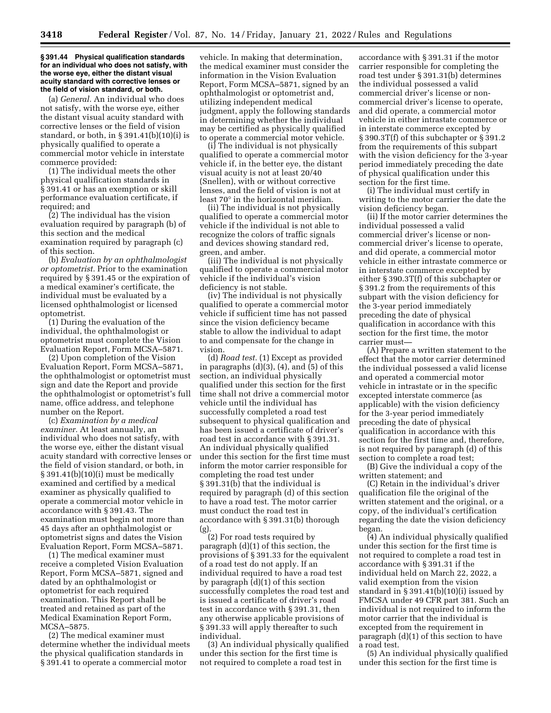#### **§ 391.44 Physical qualification standards for an individual who does not satisfy, with the worse eye, either the distant visual acuity standard with corrective lenses or the field of vision standard, or both.**

(a) *General.* An individual who does not satisfy, with the worse eye, either the distant visual acuity standard with corrective lenses or the field of vision standard, or both, in § 391.41(b)(10)(i) is physically qualified to operate a commercial motor vehicle in interstate commerce provided:

(1) The individual meets the other physical qualification standards in § 391.41 or has an exemption or skill performance evaluation certificate, if required; and

(2) The individual has the vision evaluation required by paragraph (b) of this section and the medical examination required by paragraph (c) of this section.

(b) *Evaluation by an ophthalmologist or optometrist.* Prior to the examination required by § 391.45 or the expiration of a medical examiner's certificate, the individual must be evaluated by a licensed ophthalmologist or licensed optometrist.

(1) During the evaluation of the individual, the ophthalmologist or optometrist must complete the Vision Evaluation Report, Form MCSA–5871.

(2) Upon completion of the Vision Evaluation Report, Form MCSA–5871, the ophthalmologist or optometrist must sign and date the Report and provide the ophthalmologist or optometrist's full name, office address, and telephone number on the Report.

(c) *Examination by a medical examiner.* At least annually, an individual who does not satisfy, with the worse eye, either the distant visual acuity standard with corrective lenses or the field of vision standard, or both, in § 391.41(b)(10)(i) must be medically examined and certified by a medical examiner as physically qualified to operate a commercial motor vehicle in accordance with § 391.43. The examination must begin not more than 45 days after an ophthalmologist or optometrist signs and dates the Vision Evaluation Report, Form MCSA–5871.

(1) The medical examiner must receive a completed Vision Evaluation Report, Form MCSA–5871, signed and dated by an ophthalmologist or optometrist for each required examination. This Report shall be treated and retained as part of the Medical Examination Report Form, MCSA–5875.

(2) The medical examiner must determine whether the individual meets the physical qualification standards in § 391.41 to operate a commercial motor

vehicle. In making that determination, the medical examiner must consider the information in the Vision Evaluation Report, Form MCSA–5871, signed by an ophthalmologist or optometrist and, utilizing independent medical judgment, apply the following standards in determining whether the individual may be certified as physically qualified to operate a commercial motor vehicle.

(i) The individual is not physically qualified to operate a commercial motor vehicle if, in the better eye, the distant visual acuity is not at least 20/40 (Snellen), with or without corrective lenses, and the field of vision is not at least 70° in the horizontal meridian.

(ii) The individual is not physically qualified to operate a commercial motor vehicle if the individual is not able to recognize the colors of traffic signals and devices showing standard red, green, and amber.

(iii) The individual is not physically qualified to operate a commercial motor vehicle if the individual's vision deficiency is not stable.

(iv) The individual is not physically qualified to operate a commercial motor vehicle if sufficient time has not passed since the vision deficiency became stable to allow the individual to adapt to and compensate for the change in vision.

(d) *Road test.* (1) Except as provided in paragraphs  $(d)(3)$ ,  $(4)$ , and  $(5)$  of this section, an individual physically qualified under this section for the first time shall not drive a commercial motor vehicle until the individual has successfully completed a road test subsequent to physical qualification and has been issued a certificate of driver's road test in accordance with § 391.31. An individual physically qualified under this section for the first time must inform the motor carrier responsible for completing the road test under § 391.31(b) that the individual is required by paragraph (d) of this section to have a road test. The motor carrier must conduct the road test in accordance with § 391.31(b) thorough (g).

(2) For road tests required by paragraph (d)(1) of this section, the provisions of § 391.33 for the equivalent of a road test do not apply. If an individual required to have a road test by paragraph (d)(1) of this section successfully completes the road test and is issued a certificate of driver's road test in accordance with § 391.31, then any otherwise applicable provisions of § 391.33 will apply thereafter to such individual.

(3) An individual physically qualified under this section for the first time is not required to complete a road test in

accordance with § 391.31 if the motor carrier responsible for completing the road test under § 391.31(b) determines the individual possessed a valid commercial driver's license or noncommercial driver's license to operate, and did operate, a commercial motor vehicle in either intrastate commerce or in interstate commerce excepted by § 390.3T(f) of this subchapter or § 391.2 from the requirements of this subpart with the vision deficiency for the 3-year period immediately preceding the date of physical qualification under this section for the first time.

(i) The individual must certify in writing to the motor carrier the date the vision deficiency began.

(ii) If the motor carrier determines the individual possessed a valid commercial driver's license or noncommercial driver's license to operate, and did operate, a commercial motor vehicle in either intrastate commerce or in interstate commerce excepted by either § 390.3T(f) of this subchapter or § 391.2 from the requirements of this subpart with the vision deficiency for the 3-year period immediately preceding the date of physical qualification in accordance with this section for the first time, the motor carrier must—

(A) Prepare a written statement to the effect that the motor carrier determined the individual possessed a valid license and operated a commercial motor vehicle in intrastate or in the specific excepted interstate commerce (as applicable) with the vision deficiency for the 3-year period immediately preceding the date of physical qualification in accordance with this section for the first time and, therefore, is not required by paragraph (d) of this section to complete a road test;

(B) Give the individual a copy of the written statement; and

(C) Retain in the individual's driver qualification file the original of the written statement and the original, or a copy, of the individual's certification regarding the date the vision deficiency began.

(4) An individual physically qualified under this section for the first time is not required to complete a road test in accordance with § 391.31 if the individual held on March 22, 2022, a valid exemption from the vision standard in § 391.41(b)(10)(i) issued by FMCSA under 49 CFR part 381. Such an individual is not required to inform the motor carrier that the individual is excepted from the requirement in paragraph (d)(1) of this section to have a road test.

(5) An individual physically qualified under this section for the first time is